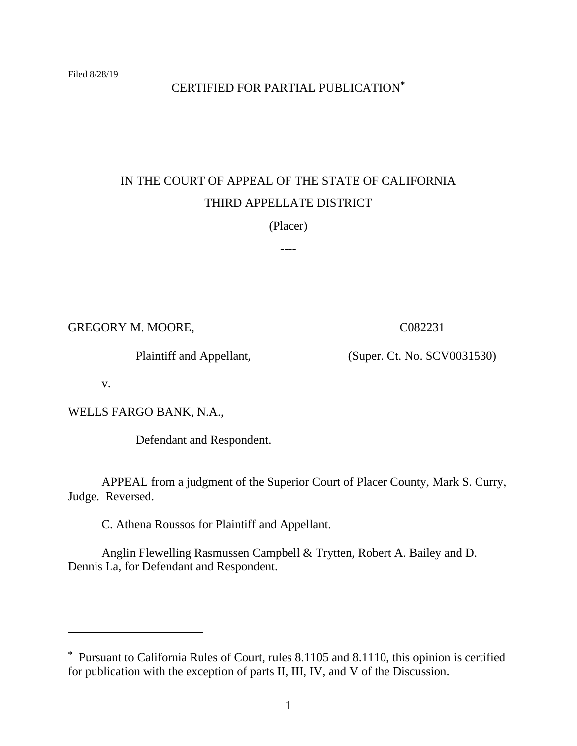# CERTIFIED FOR PARTIAL PUBLICATION**\***

# IN THE COURT OF APPEAL OF THE STATE OF CALIFORNIA THIRD APPELLATE DISTRICT

(Placer)

----

GREGORY M. MOORE,

Plaintiff and Appellant,

C082231

(Super. Ct. No. SCV0031530)

v.

WELLS FARGO BANK, N.A.,

Defendant and Respondent.

APPEAL from a judgment of the Superior Court of Placer County, Mark S. Curry, Judge. Reversed.

C. Athena Roussos for Plaintiff and Appellant.

Anglin Flewelling Rasmussen Campbell & Trytten, Robert A. Bailey and D. Dennis La, for Defendant and Respondent.

**<sup>\*</sup>** Pursuant to California Rules of Court, rules 8.1105 and 8.1110, this opinion is certified for publication with the exception of parts II, III, IV, and V of the Discussion.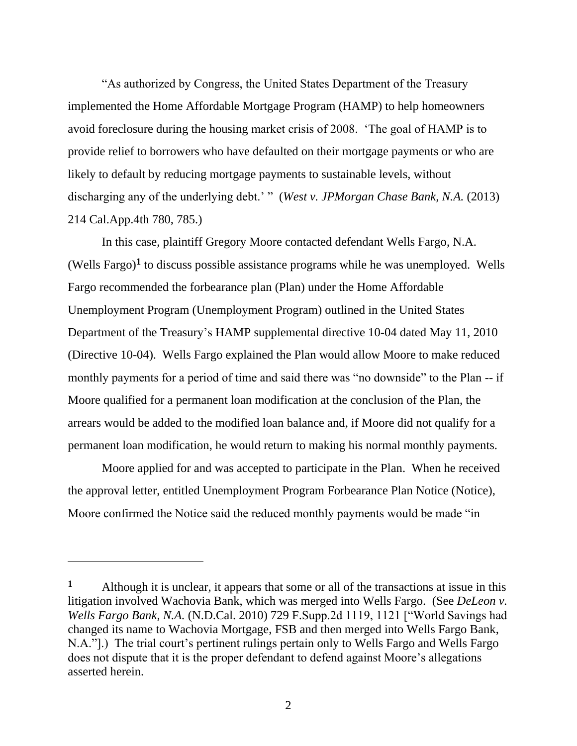"As authorized by Congress, the United States Department of the Treasury implemented the Home Affordable Mortgage Program (HAMP) to help homeowners avoid foreclosure during the housing market crisis of 2008. 'The goal of HAMP is to provide relief to borrowers who have defaulted on their mortgage payments or who are likely to default by reducing mortgage payments to sustainable levels, without discharging any of the underlying debt.' " (*West v. JPMorgan Chase Bank, N.A.* (2013) 214 Cal.App.4th 780, 785.)

In this case, plaintiff Gregory Moore contacted defendant Wells Fargo, N.A. (Wells Fargo)<sup>1</sup> to discuss possible assistance programs while he was unemployed. Wells Fargo recommended the forbearance plan (Plan) under the Home Affordable Unemployment Program (Unemployment Program) outlined in the United States Department of the Treasury's HAMP supplemental directive 10-04 dated May 11, 2010 (Directive 10-04). Wells Fargo explained the Plan would allow Moore to make reduced monthly payments for a period of time and said there was "no downside" to the Plan -- if Moore qualified for a permanent loan modification at the conclusion of the Plan, the arrears would be added to the modified loan balance and, if Moore did not qualify for a permanent loan modification, he would return to making his normal monthly payments.

Moore applied for and was accepted to participate in the Plan. When he received the approval letter, entitled Unemployment Program Forbearance Plan Notice (Notice), Moore confirmed the Notice said the reduced monthly payments would be made "in

**<sup>1</sup>** Although it is unclear, it appears that some or all of the transactions at issue in this litigation involved Wachovia Bank, which was merged into Wells Fargo. (See *DeLeon v. Wells Fargo Bank, N.A.* (N.D.Cal. 2010) 729 F.Supp.2d 1119, 1121 ["World Savings had changed its name to Wachovia Mortgage, FSB and then merged into Wells Fargo Bank, N.A."].) The trial court's pertinent rulings pertain only to Wells Fargo and Wells Fargo does not dispute that it is the proper defendant to defend against Moore's allegations asserted herein.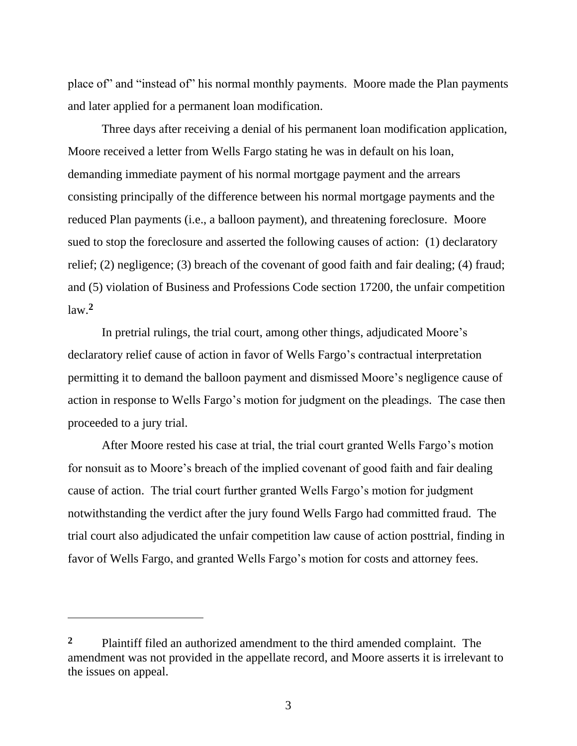place of" and "instead of" his normal monthly payments. Moore made the Plan payments and later applied for a permanent loan modification.

Three days after receiving a denial of his permanent loan modification application, Moore received a letter from Wells Fargo stating he was in default on his loan, demanding immediate payment of his normal mortgage payment and the arrears consisting principally of the difference between his normal mortgage payments and the reduced Plan payments (i.e., a balloon payment), and threatening foreclosure. Moore sued to stop the foreclosure and asserted the following causes of action: (1) declaratory relief; (2) negligence; (3) breach of the covenant of good faith and fair dealing; (4) fraud; and (5) violation of Business and Professions Code section 17200, the unfair competition law. **2**

In pretrial rulings, the trial court, among other things, adjudicated Moore's declaratory relief cause of action in favor of Wells Fargo's contractual interpretation permitting it to demand the balloon payment and dismissed Moore's negligence cause of action in response to Wells Fargo's motion for judgment on the pleadings. The case then proceeded to a jury trial.

After Moore rested his case at trial, the trial court granted Wells Fargo's motion for nonsuit as to Moore's breach of the implied covenant of good faith and fair dealing cause of action. The trial court further granted Wells Fargo's motion for judgment notwithstanding the verdict after the jury found Wells Fargo had committed fraud. The trial court also adjudicated the unfair competition law cause of action posttrial, finding in favor of Wells Fargo, and granted Wells Fargo's motion for costs and attorney fees.

**<sup>2</sup>** Plaintiff filed an authorized amendment to the third amended complaint. The amendment was not provided in the appellate record, and Moore asserts it is irrelevant to the issues on appeal.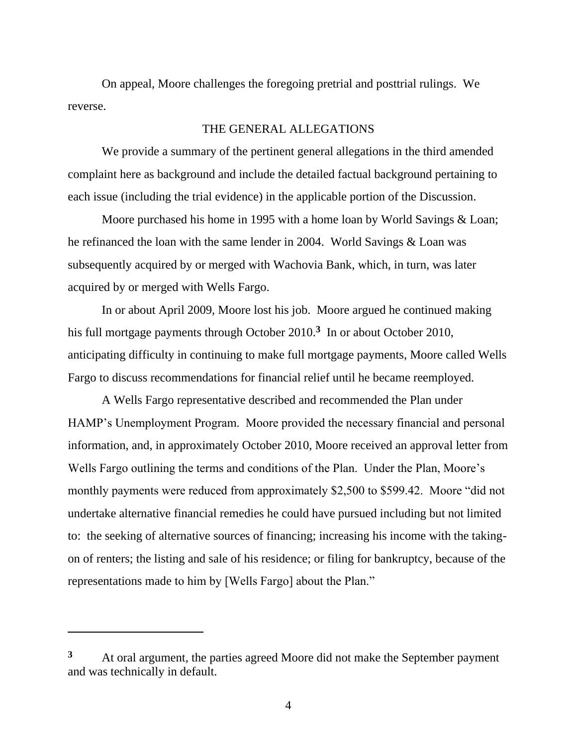On appeal, Moore challenges the foregoing pretrial and posttrial rulings. We reverse.

# THE GENERAL ALLEGATIONS

We provide a summary of the pertinent general allegations in the third amended complaint here as background and include the detailed factual background pertaining to each issue (including the trial evidence) in the applicable portion of the Discussion.

Moore purchased his home in 1995 with a home loan by World Savings & Loan; he refinanced the loan with the same lender in 2004. World Savings & Loan was subsequently acquired by or merged with Wachovia Bank, which, in turn, was later acquired by or merged with Wells Fargo.

In or about April 2009, Moore lost his job. Moore argued he continued making his full mortgage payments through October 2010.**<sup>3</sup>** In or about October 2010, anticipating difficulty in continuing to make full mortgage payments, Moore called Wells Fargo to discuss recommendations for financial relief until he became reemployed.

A Wells Fargo representative described and recommended the Plan under HAMP's Unemployment Program. Moore provided the necessary financial and personal information, and, in approximately October 2010, Moore received an approval letter from Wells Fargo outlining the terms and conditions of the Plan. Under the Plan, Moore's monthly payments were reduced from approximately \$2,500 to \$599.42. Moore "did not undertake alternative financial remedies he could have pursued including but not limited to: the seeking of alternative sources of financing; increasing his income with the takingon of renters; the listing and sale of his residence; or filing for bankruptcy, because of the representations made to him by [Wells Fargo] about the Plan."

**<sup>3</sup>** At oral argument, the parties agreed Moore did not make the September payment and was technically in default.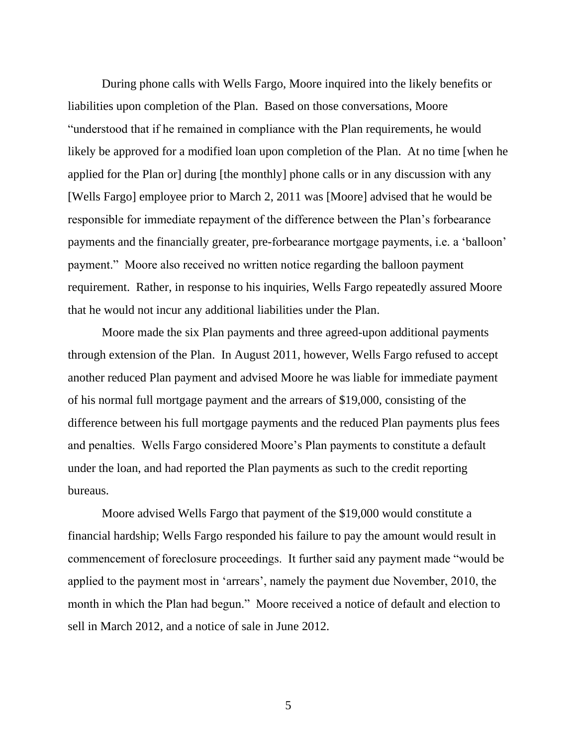During phone calls with Wells Fargo, Moore inquired into the likely benefits or liabilities upon completion of the Plan. Based on those conversations, Moore "understood that if he remained in compliance with the Plan requirements, he would likely be approved for a modified loan upon completion of the Plan. At no time [when he applied for the Plan or] during [the monthly] phone calls or in any discussion with any [Wells Fargo] employee prior to March 2, 2011 was [Moore] advised that he would be responsible for immediate repayment of the difference between the Plan's forbearance payments and the financially greater, pre-forbearance mortgage payments, i.e. a 'balloon' payment." Moore also received no written notice regarding the balloon payment requirement. Rather, in response to his inquiries, Wells Fargo repeatedly assured Moore that he would not incur any additional liabilities under the Plan.

Moore made the six Plan payments and three agreed-upon additional payments through extension of the Plan. In August 2011, however, Wells Fargo refused to accept another reduced Plan payment and advised Moore he was liable for immediate payment of his normal full mortgage payment and the arrears of \$19,000, consisting of the difference between his full mortgage payments and the reduced Plan payments plus fees and penalties. Wells Fargo considered Moore's Plan payments to constitute a default under the loan, and had reported the Plan payments as such to the credit reporting bureaus.

Moore advised Wells Fargo that payment of the \$19,000 would constitute a financial hardship; Wells Fargo responded his failure to pay the amount would result in commencement of foreclosure proceedings. It further said any payment made "would be applied to the payment most in 'arrears', namely the payment due November, 2010, the month in which the Plan had begun." Moore received a notice of default and election to sell in March 2012, and a notice of sale in June 2012.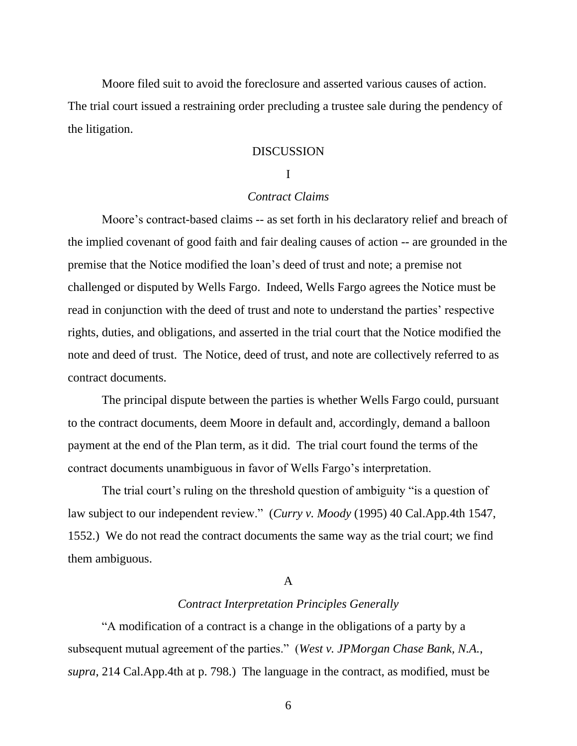Moore filed suit to avoid the foreclosure and asserted various causes of action.

The trial court issued a restraining order precluding a trustee sale during the pendency of the litigation.

# DISCUSSION

# I

# *Contract Claims*

Moore's contract-based claims -- as set forth in his declaratory relief and breach of the implied covenant of good faith and fair dealing causes of action -- are grounded in the premise that the Notice modified the loan's deed of trust and note; a premise not challenged or disputed by Wells Fargo. Indeed, Wells Fargo agrees the Notice must be read in conjunction with the deed of trust and note to understand the parties' respective rights, duties, and obligations, and asserted in the trial court that the Notice modified the note and deed of trust. The Notice, deed of trust, and note are collectively referred to as contract documents.

The principal dispute between the parties is whether Wells Fargo could, pursuant to the contract documents, deem Moore in default and, accordingly, demand a balloon payment at the end of the Plan term, as it did. The trial court found the terms of the contract documents unambiguous in favor of Wells Fargo's interpretation.

The trial court's ruling on the threshold question of ambiguity "is a question of law subject to our independent review." (*Curry v. Moody* (1995) 40 Cal.App.4th 1547, 1552.) We do not read the contract documents the same way as the trial court; we find them ambiguous.

## A

# *Contract Interpretation Principles Generally*

"A modification of a contract is a change in the obligations of a party by a subsequent mutual agreement of the parties." (*West v. JPMorgan Chase Bank, N.A.*, *supra*, 214 Cal.App.4th at p. 798.) The language in the contract, as modified, must be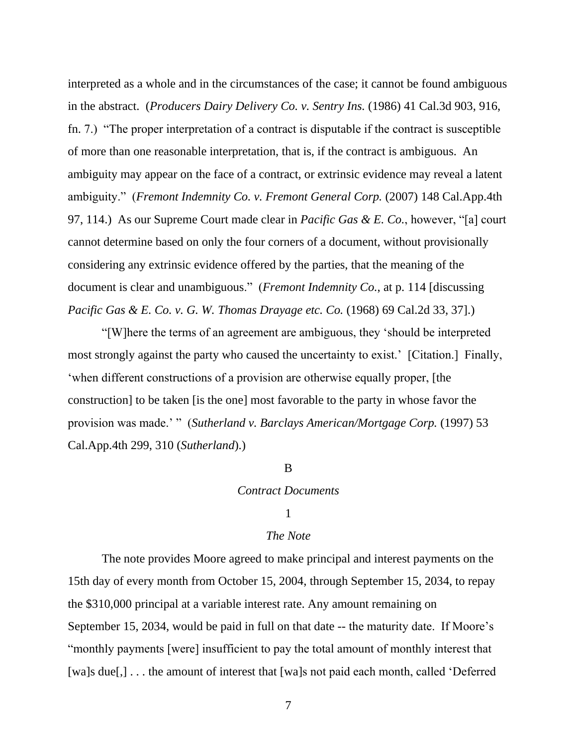interpreted as a whole and in the circumstances of the case; it cannot be found ambiguous in the abstract. (*Producers Dairy Delivery Co. v. Sentry Ins.* (1986) 41 Cal.3d 903, 916, fn. 7.) "The proper interpretation of a contract is disputable if the contract is susceptible of more than one reasonable interpretation, that is, if the contract is ambiguous. An ambiguity may appear on the face of a contract, or extrinsic evidence may reveal a latent ambiguity." (*Fremont Indemnity Co. v. Fremont General Corp.* (2007) 148 Cal.App.4th 97, 114.) As our Supreme Court made clear in *Pacific Gas & E. Co.*, however, "[a] court cannot determine based on only the four corners of a document, without provisionally considering any extrinsic evidence offered by the parties, that the meaning of the document is clear and unambiguous." (*Fremont Indemnity Co.*, at p. 114 [discussing *Pacific Gas & E. Co. v. G. W. Thomas Drayage etc. Co.* (1968) 69 Cal.2d 33, 37].)

"[W]here the terms of an agreement are ambiguous, they 'should be interpreted most strongly against the party who caused the uncertainty to exist.' [Citation.] Finally, 'when different constructions of a provision are otherwise equally proper, [the construction] to be taken [is the one] most favorable to the party in whose favor the provision was made.' " (*Sutherland v. Barclays American/Mortgage Corp.* (1997) 53 Cal.App.4th 299, 310 (*Sutherland*).)

## B

#### *Contract Documents*

### 1

### *The Note*

The note provides Moore agreed to make principal and interest payments on the 15th day of every month from October 15, 2004, through September 15, 2034, to repay the \$310,000 principal at a variable interest rate. Any amount remaining on September 15, 2034, would be paid in full on that date -- the maturity date. If Moore's "monthly payments [were] insufficient to pay the total amount of monthly interest that [wa]s due[,] . . . the amount of interest that [wa]s not paid each month, called 'Deferred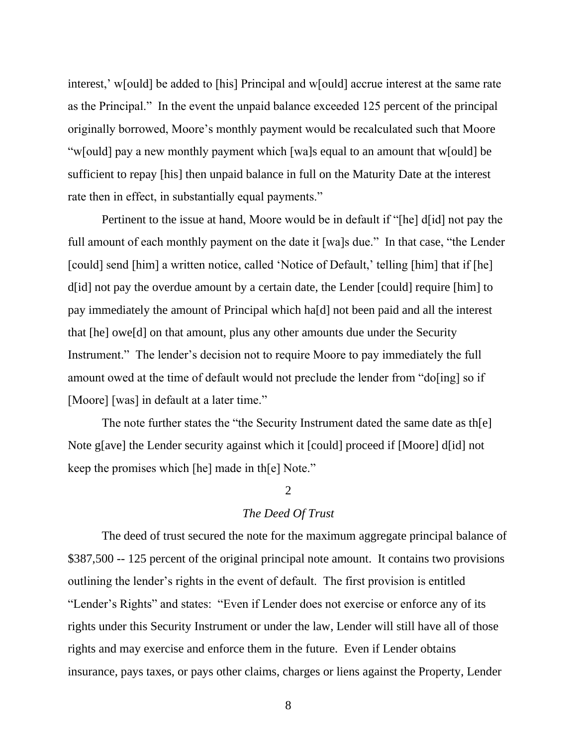interest,' w[ould] be added to [his] Principal and w[ould] accrue interest at the same rate as the Principal." In the event the unpaid balance exceeded 125 percent of the principal originally borrowed, Moore's monthly payment would be recalculated such that Moore "w[ould] pay a new monthly payment which [wa]s equal to an amount that w[ould] be sufficient to repay [his] then unpaid balance in full on the Maturity Date at the interest rate then in effect, in substantially equal payments."

Pertinent to the issue at hand, Moore would be in default if "[he] d[id] not pay the full amount of each monthly payment on the date it [wa]s due." In that case, "the Lender [could] send [him] a written notice, called 'Notice of Default,' telling [him] that if [he] d[id] not pay the overdue amount by a certain date, the Lender [could] require [him] to pay immediately the amount of Principal which ha[d] not been paid and all the interest that [he] owe[d] on that amount, plus any other amounts due under the Security Instrument." The lender's decision not to require Moore to pay immediately the full amount owed at the time of default would not preclude the lender from "do[ing] so if [Moore] [was] in default at a later time."

The note further states the "the Security Instrument dated the same date as th[e] Note g[ave] the Lender security against which it [could] proceed if [Moore] d[id] not keep the promises which [he] made in th[e] Note."

#### $\mathcal{D}$

## *The Deed Of Trust*

The deed of trust secured the note for the maximum aggregate principal balance of \$387,500 -- 125 percent of the original principal note amount. It contains two provisions outlining the lender's rights in the event of default. The first provision is entitled "Lender's Rights" and states: "Even if Lender does not exercise or enforce any of its rights under this Security Instrument or under the law, Lender will still have all of those rights and may exercise and enforce them in the future. Even if Lender obtains insurance, pays taxes, or pays other claims, charges or liens against the Property, Lender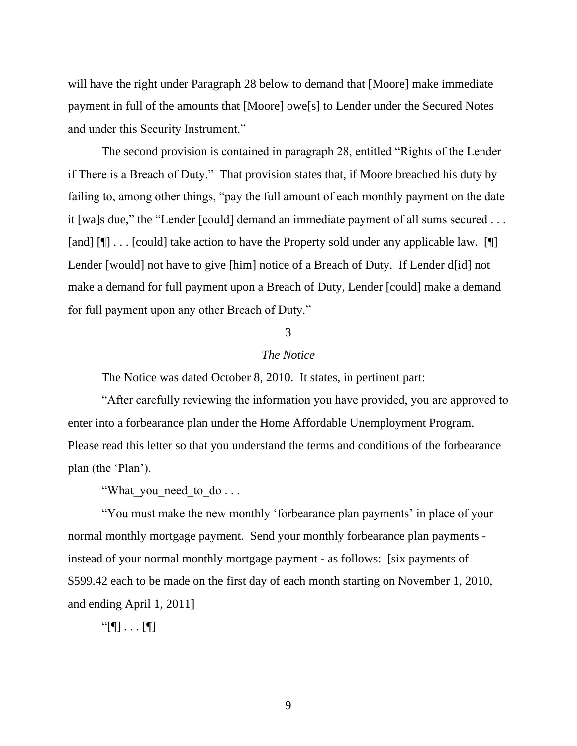will have the right under Paragraph 28 below to demand that [Moore] make immediate payment in full of the amounts that [Moore] owe[s] to Lender under the Secured Notes and under this Security Instrument."

The second provision is contained in paragraph 28, entitled "Rights of the Lender if There is a Breach of Duty." That provision states that, if Moore breached his duty by failing to, among other things, "pay the full amount of each monthly payment on the date it [wa]s due," the "Lender [could] demand an immediate payment of all sums secured . . . [and] [[] . . . [could] take action to have the Property sold under any applicable law. [[[] Lender [would] not have to give [him] notice of a Breach of Duty. If Lender d[id] not make a demand for full payment upon a Breach of Duty, Lender [could] make a demand for full payment upon any other Breach of Duty."

# 3

# *The Notice*

The Notice was dated October 8, 2010. It states, in pertinent part:

"After carefully reviewing the information you have provided, you are approved to enter into a forbearance plan under the Home Affordable Unemployment Program. Please read this letter so that you understand the terms and conditions of the forbearance plan (the 'Plan').

"What you need to do . . .

"You must make the new monthly 'forbearance plan payments' in place of your normal monthly mortgage payment. Send your monthly forbearance plan payments instead of your normal monthly mortgage payment - as follows: [six payments of \$599.42 each to be made on the first day of each month starting on November 1, 2010, and ending April 1, 2011]

"[¶] . . . [¶]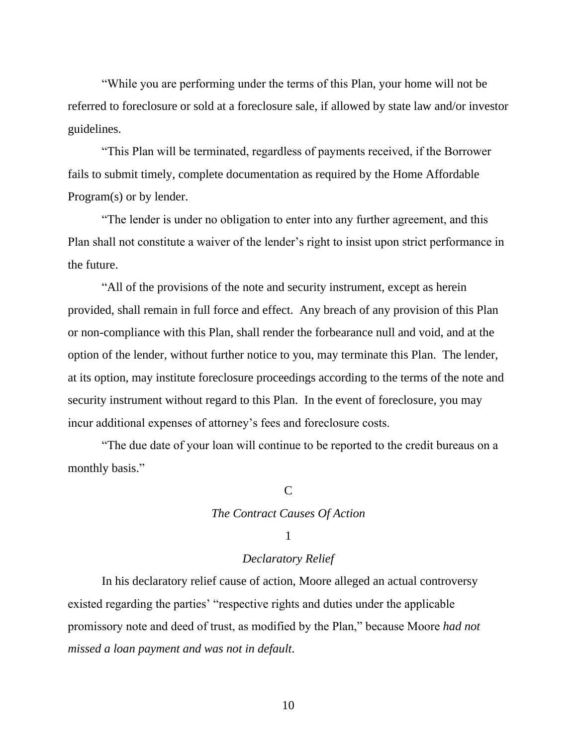"While you are performing under the terms of this Plan, your home will not be referred to foreclosure or sold at a foreclosure sale, if allowed by state law and/or investor guidelines.

"This Plan will be terminated, regardless of payments received, if the Borrower fails to submit timely, complete documentation as required by the Home Affordable Program(s) or by lender.

"The lender is under no obligation to enter into any further agreement, and this Plan shall not constitute a waiver of the lender's right to insist upon strict performance in the future.

"All of the provisions of the note and security instrument, except as herein provided, shall remain in full force and effect. Any breach of any provision of this Plan or non-compliance with this Plan, shall render the forbearance null and void, and at the option of the lender, without further notice to you, may terminate this Plan. The lender, at its option, may institute foreclosure proceedings according to the terms of the note and security instrument without regard to this Plan. In the event of foreclosure, you may incur additional expenses of attorney's fees and foreclosure costs.

"The due date of your loan will continue to be reported to the credit bureaus on a monthly basis."

### $\mathcal{C}$

## *The Contract Causes Of Action*

## 1

## *Declaratory Relief*

In his declaratory relief cause of action, Moore alleged an actual controversy existed regarding the parties' "respective rights and duties under the applicable promissory note and deed of trust, as modified by the Plan," because Moore *had not missed a loan payment and was not in default*.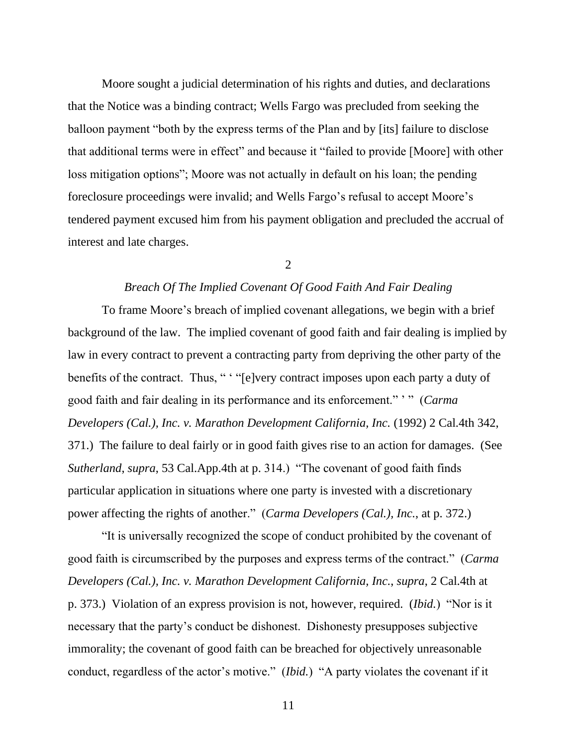Moore sought a judicial determination of his rights and duties, and declarations that the Notice was a binding contract; Wells Fargo was precluded from seeking the balloon payment "both by the express terms of the Plan and by [its] failure to disclose that additional terms were in effect" and because it "failed to provide [Moore] with other loss mitigation options"; Moore was not actually in default on his loan; the pending foreclosure proceedings were invalid; and Wells Fargo's refusal to accept Moore's tendered payment excused him from his payment obligation and precluded the accrual of interest and late charges.

2

## *Breach Of The Implied Covenant Of Good Faith And Fair Dealing*

To frame Moore's breach of implied covenant allegations, we begin with a brief background of the law. The implied covenant of good faith and fair dealing is implied by law in every contract to prevent a contracting party from depriving the other party of the benefits of the contract. Thus, " "[e]very contract imposes upon each party a duty of good faith and fair dealing in its performance and its enforcement." ' " (*Carma Developers (Cal.), Inc. v. Marathon Development California, Inc. (1992) 2 Cal.4th 342,* 371.) The failure to deal fairly or in good faith gives rise to an action for damages. (See *Sutherland*, *supra*, 53 Cal.App.4th at p. 314.) "The covenant of good faith finds particular application in situations where one party is invested with a discretionary power affecting the rights of another." (*Carma Developers (Cal.), Inc.*, at p. 372.)

"It is universally recognized the scope of conduct prohibited by the covenant of good faith is circumscribed by the purposes and express terms of the contract." (*Carma Developers (Cal.), Inc. v. Marathon Development California, Inc.*, *supra*, 2 Cal.4th at p. 373.) Violation of an express provision is not, however, required. (*Ibid.*) "Nor is it necessary that the party's conduct be dishonest. Dishonesty presupposes subjective immorality; the covenant of good faith can be breached for objectively unreasonable conduct, regardless of the actor's motive." (*Ibid.*) "A party violates the covenant if it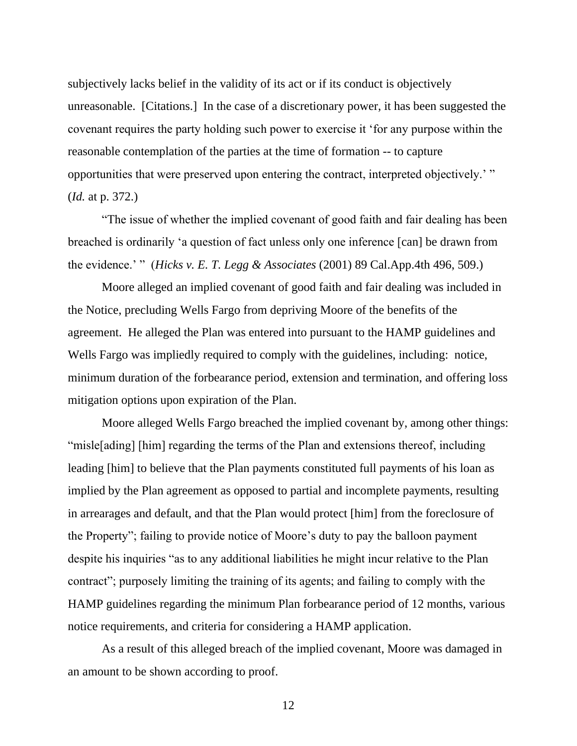subjectively lacks belief in the validity of its act or if its conduct is objectively unreasonable. [Citations.] In the case of a discretionary power, it has been suggested the covenant requires the party holding such power to exercise it 'for any purpose within the reasonable contemplation of the parties at the time of formation -- to capture opportunities that were preserved upon entering the contract, interpreted objectively.' " (*Id.* at p. 372.)

"The issue of whether the implied covenant of good faith and fair dealing has been breached is ordinarily 'a question of fact unless only one inference [can] be drawn from the evidence.' " (*Hicks v. E. T. Legg & Associates* (2001) 89 Cal.App.4th 496, 509.)

Moore alleged an implied covenant of good faith and fair dealing was included in the Notice, precluding Wells Fargo from depriving Moore of the benefits of the agreement. He alleged the Plan was entered into pursuant to the HAMP guidelines and Wells Fargo was impliedly required to comply with the guidelines, including: notice, minimum duration of the forbearance period, extension and termination, and offering loss mitigation options upon expiration of the Plan.

Moore alleged Wells Fargo breached the implied covenant by, among other things: "misle[ading] [him] regarding the terms of the Plan and extensions thereof, including leading [him] to believe that the Plan payments constituted full payments of his loan as implied by the Plan agreement as opposed to partial and incomplete payments, resulting in arrearages and default, and that the Plan would protect [him] from the foreclosure of the Property"; failing to provide notice of Moore's duty to pay the balloon payment despite his inquiries "as to any additional liabilities he might incur relative to the Plan contract"; purposely limiting the training of its agents; and failing to comply with the HAMP guidelines regarding the minimum Plan forbearance period of 12 months, various notice requirements, and criteria for considering a HAMP application.

As a result of this alleged breach of the implied covenant, Moore was damaged in an amount to be shown according to proof.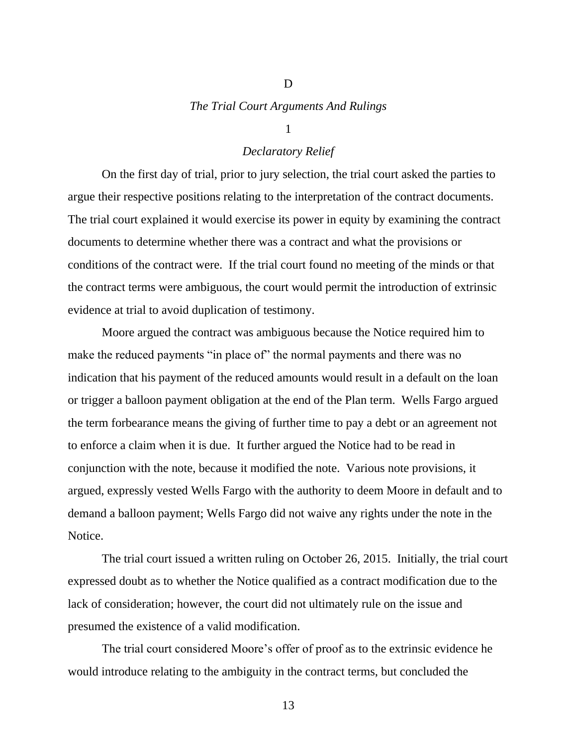# *The Trial Court Arguments And Rulings*

D

#### 1

## *Declaratory Relief*

On the first day of trial, prior to jury selection, the trial court asked the parties to argue their respective positions relating to the interpretation of the contract documents. The trial court explained it would exercise its power in equity by examining the contract documents to determine whether there was a contract and what the provisions or conditions of the contract were. If the trial court found no meeting of the minds or that the contract terms were ambiguous, the court would permit the introduction of extrinsic evidence at trial to avoid duplication of testimony.

Moore argued the contract was ambiguous because the Notice required him to make the reduced payments "in place of" the normal payments and there was no indication that his payment of the reduced amounts would result in a default on the loan or trigger a balloon payment obligation at the end of the Plan term. Wells Fargo argued the term forbearance means the giving of further time to pay a debt or an agreement not to enforce a claim when it is due. It further argued the Notice had to be read in conjunction with the note, because it modified the note. Various note provisions, it argued, expressly vested Wells Fargo with the authority to deem Moore in default and to demand a balloon payment; Wells Fargo did not waive any rights under the note in the Notice.

The trial court issued a written ruling on October 26, 2015. Initially, the trial court expressed doubt as to whether the Notice qualified as a contract modification due to the lack of consideration; however, the court did not ultimately rule on the issue and presumed the existence of a valid modification.

The trial court considered Moore's offer of proof as to the extrinsic evidence he would introduce relating to the ambiguity in the contract terms, but concluded the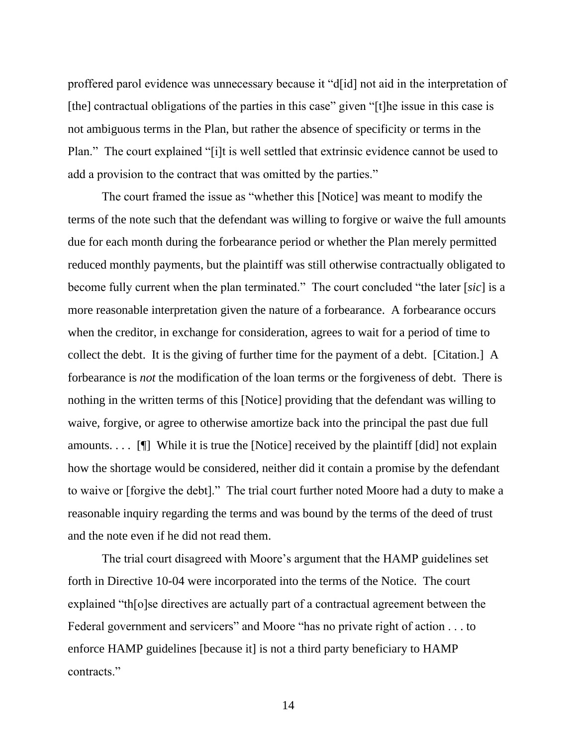proffered parol evidence was unnecessary because it "d[id] not aid in the interpretation of [the] contractual obligations of the parties in this case" given "[t]he issue in this case is not ambiguous terms in the Plan, but rather the absence of specificity or terms in the Plan." The court explained "[i]t is well settled that extrinsic evidence cannot be used to add a provision to the contract that was omitted by the parties."

The court framed the issue as "whether this [Notice] was meant to modify the terms of the note such that the defendant was willing to forgive or waive the full amounts due for each month during the forbearance period or whether the Plan merely permitted reduced monthly payments, but the plaintiff was still otherwise contractually obligated to become fully current when the plan terminated." The court concluded "the later [*sic*] is a more reasonable interpretation given the nature of a forbearance. A forbearance occurs when the creditor, in exchange for consideration, agrees to wait for a period of time to collect the debt. It is the giving of further time for the payment of a debt. [Citation.] A forbearance is *not* the modification of the loan terms or the forgiveness of debt. There is nothing in the written terms of this [Notice] providing that the defendant was willing to waive, forgive, or agree to otherwise amortize back into the principal the past due full amounts. . . . [¶] While it is true the [Notice] received by the plaintiff [did] not explain how the shortage would be considered, neither did it contain a promise by the defendant to waive or [forgive the debt]." The trial court further noted Moore had a duty to make a reasonable inquiry regarding the terms and was bound by the terms of the deed of trust and the note even if he did not read them.

The trial court disagreed with Moore's argument that the HAMP guidelines set forth in Directive 10-04 were incorporated into the terms of the Notice. The court explained "th[o]se directives are actually part of a contractual agreement between the Federal government and servicers" and Moore "has no private right of action . . . to enforce HAMP guidelines [because it] is not a third party beneficiary to HAMP contracts."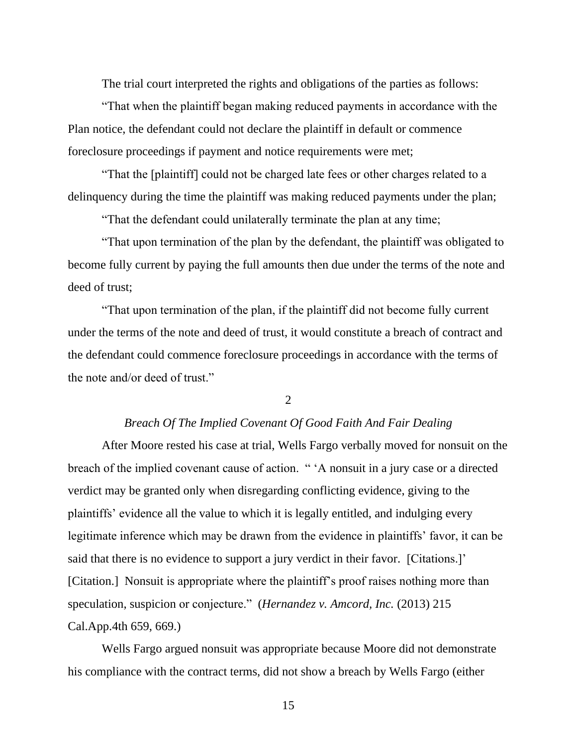The trial court interpreted the rights and obligations of the parties as follows:

"That when the plaintiff began making reduced payments in accordance with the Plan notice, the defendant could not declare the plaintiff in default or commence foreclosure proceedings if payment and notice requirements were met;

"That the [plaintiff] could not be charged late fees or other charges related to a delinquency during the time the plaintiff was making reduced payments under the plan;

"That the defendant could unilaterally terminate the plan at any time;

"That upon termination of the plan by the defendant, the plaintiff was obligated to become fully current by paying the full amounts then due under the terms of the note and deed of trust;

"That upon termination of the plan, if the plaintiff did not become fully current under the terms of the note and deed of trust, it would constitute a breach of contract and the defendant could commence foreclosure proceedings in accordance with the terms of the note and/or deed of trust."

2

## *Breach Of The Implied Covenant Of Good Faith And Fair Dealing*

After Moore rested his case at trial, Wells Fargo verbally moved for nonsuit on the breach of the implied covenant cause of action. " 'A nonsuit in a jury case or a directed verdict may be granted only when disregarding conflicting evidence, giving to the plaintiffs' evidence all the value to which it is legally entitled, and indulging every legitimate inference which may be drawn from the evidence in plaintiffs' favor, it can be said that there is no evidence to support a jury verdict in their favor. [Citations.]' [Citation.] Nonsuit is appropriate where the plaintiff's proof raises nothing more than speculation, suspicion or conjecture." (*Hernandez v. Amcord, Inc.* (2013) 215 Cal.App.4th 659, 669.)

Wells Fargo argued nonsuit was appropriate because Moore did not demonstrate his compliance with the contract terms, did not show a breach by Wells Fargo (either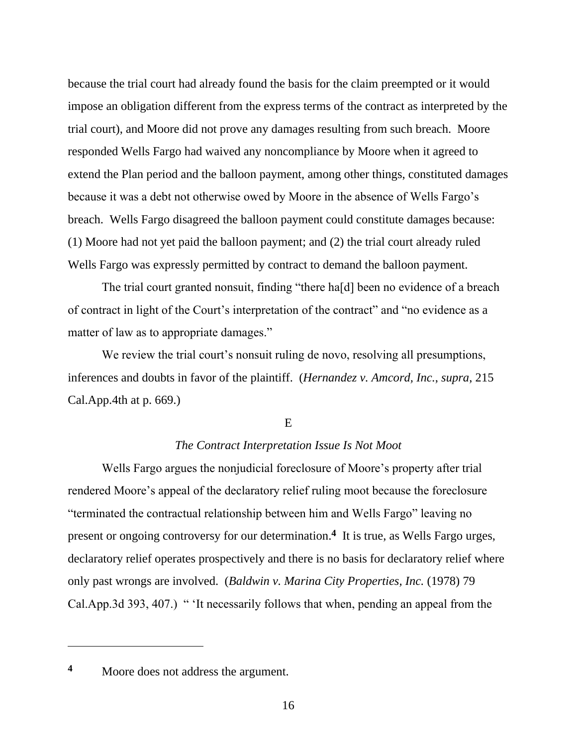because the trial court had already found the basis for the claim preempted or it would impose an obligation different from the express terms of the contract as interpreted by the trial court), and Moore did not prove any damages resulting from such breach. Moore responded Wells Fargo had waived any noncompliance by Moore when it agreed to extend the Plan period and the balloon payment, among other things, constituted damages because it was a debt not otherwise owed by Moore in the absence of Wells Fargo's breach. Wells Fargo disagreed the balloon payment could constitute damages because: (1) Moore had not yet paid the balloon payment; and (2) the trial court already ruled Wells Fargo was expressly permitted by contract to demand the balloon payment.

The trial court granted nonsuit, finding "there ha[d] been no evidence of a breach of contract in light of the Court's interpretation of the contract" and "no evidence as a matter of law as to appropriate damages."

We review the trial court's nonsuit ruling de novo, resolving all presumptions, inferences and doubts in favor of the plaintiff. (*Hernandez v. Amcord, Inc.*, *supra*, 215 Cal.App.4th at p. 669.)

E

# *The Contract Interpretation Issue Is Not Moot*

Wells Fargo argues the nonjudicial foreclosure of Moore's property after trial rendered Moore's appeal of the declaratory relief ruling moot because the foreclosure "terminated the contractual relationship between him and Wells Fargo" leaving no present or ongoing controversy for our determination.**<sup>4</sup>** It is true, as Wells Fargo urges, declaratory relief operates prospectively and there is no basis for declaratory relief where only past wrongs are involved. (*Baldwin v. Marina City Properties, Inc.* (1978) 79 Cal.App.3d 393, 407.) " 'It necessarily follows that when, pending an appeal from the

**<sup>4</sup>** Moore does not address the argument.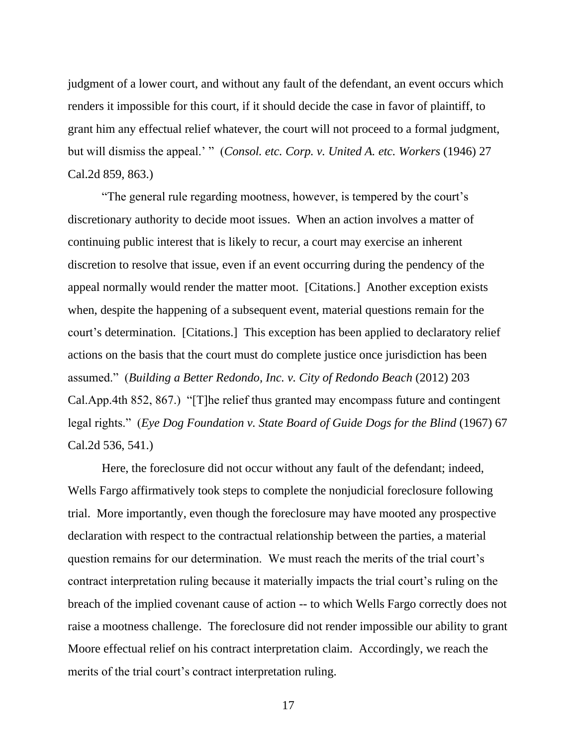judgment of a lower court, and without any fault of the defendant, an event occurs which renders it impossible for this court, if it should decide the case in favor of plaintiff, to grant him any effectual relief whatever, the court will not proceed to a formal judgment, but will dismiss the appeal.' " (*Consol. etc. Corp. v. United A. etc. Workers* (1946) 27 Cal.2d 859, 863.)

"The general rule regarding mootness, however, is tempered by the court's discretionary authority to decide moot issues. When an action involves a matter of continuing public interest that is likely to recur, a court may exercise an inherent discretion to resolve that issue, even if an event occurring during the pendency of the appeal normally would render the matter moot. [Citations.] Another exception exists when, despite the happening of a subsequent event, material questions remain for the court's determination. [Citations.] This exception has been applied to declaratory relief actions on the basis that the court must do complete justice once jurisdiction has been assumed." (*Building a Better Redondo, Inc. v. City of Redondo Beach* (2012) 203 Cal.App.4th 852, 867.) "[T]he relief thus granted may encompass future and contingent legal rights." (*Eye Dog Foundation v. State Board of Guide Dogs for the Blind* (1967) 67 Cal.2d 536, 541.)

Here, the foreclosure did not occur without any fault of the defendant; indeed, Wells Fargo affirmatively took steps to complete the nonjudicial foreclosure following trial. More importantly, even though the foreclosure may have mooted any prospective declaration with respect to the contractual relationship between the parties, a material question remains for our determination. We must reach the merits of the trial court's contract interpretation ruling because it materially impacts the trial court's ruling on the breach of the implied covenant cause of action -- to which Wells Fargo correctly does not raise a mootness challenge. The foreclosure did not render impossible our ability to grant Moore effectual relief on his contract interpretation claim. Accordingly, we reach the merits of the trial court's contract interpretation ruling.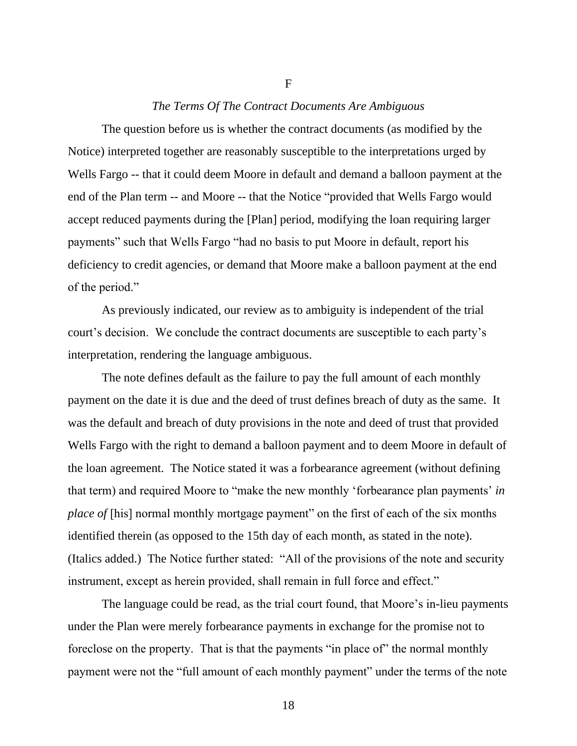## *The Terms Of The Contract Documents Are Ambiguous*

F

The question before us is whether the contract documents (as modified by the Notice) interpreted together are reasonably susceptible to the interpretations urged by Wells Fargo -- that it could deem Moore in default and demand a balloon payment at the end of the Plan term -- and Moore -- that the Notice "provided that Wells Fargo would accept reduced payments during the [Plan] period, modifying the loan requiring larger payments" such that Wells Fargo "had no basis to put Moore in default, report his deficiency to credit agencies, or demand that Moore make a balloon payment at the end of the period."

As previously indicated, our review as to ambiguity is independent of the trial court's decision. We conclude the contract documents are susceptible to each party's interpretation, rendering the language ambiguous.

The note defines default as the failure to pay the full amount of each monthly payment on the date it is due and the deed of trust defines breach of duty as the same. It was the default and breach of duty provisions in the note and deed of trust that provided Wells Fargo with the right to demand a balloon payment and to deem Moore in default of the loan agreement. The Notice stated it was a forbearance agreement (without defining that term) and required Moore to "make the new monthly 'forbearance plan payments' *in place of* [his] normal monthly mortgage payment" on the first of each of the six months identified therein (as opposed to the 15th day of each month, as stated in the note). (Italics added.) The Notice further stated: "All of the provisions of the note and security instrument, except as herein provided, shall remain in full force and effect."

The language could be read, as the trial court found, that Moore's in-lieu payments under the Plan were merely forbearance payments in exchange for the promise not to foreclose on the property. That is that the payments "in place of" the normal monthly payment were not the "full amount of each monthly payment" under the terms of the note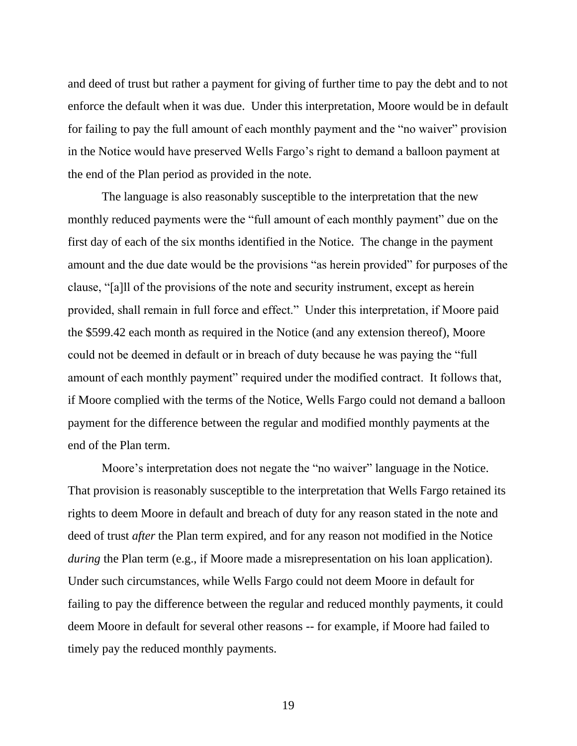and deed of trust but rather a payment for giving of further time to pay the debt and to not enforce the default when it was due. Under this interpretation, Moore would be in default for failing to pay the full amount of each monthly payment and the "no waiver" provision in the Notice would have preserved Wells Fargo's right to demand a balloon payment at the end of the Plan period as provided in the note.

The language is also reasonably susceptible to the interpretation that the new monthly reduced payments were the "full amount of each monthly payment" due on the first day of each of the six months identified in the Notice. The change in the payment amount and the due date would be the provisions "as herein provided" for purposes of the clause, "[a]ll of the provisions of the note and security instrument, except as herein provided, shall remain in full force and effect." Under this interpretation, if Moore paid the \$599.42 each month as required in the Notice (and any extension thereof), Moore could not be deemed in default or in breach of duty because he was paying the "full amount of each monthly payment" required under the modified contract. It follows that, if Moore complied with the terms of the Notice, Wells Fargo could not demand a balloon payment for the difference between the regular and modified monthly payments at the end of the Plan term.

Moore's interpretation does not negate the "no waiver" language in the Notice. That provision is reasonably susceptible to the interpretation that Wells Fargo retained its rights to deem Moore in default and breach of duty for any reason stated in the note and deed of trust *after* the Plan term expired, and for any reason not modified in the Notice *during* the Plan term (e.g., if Moore made a misrepresentation on his loan application). Under such circumstances, while Wells Fargo could not deem Moore in default for failing to pay the difference between the regular and reduced monthly payments, it could deem Moore in default for several other reasons -- for example, if Moore had failed to timely pay the reduced monthly payments.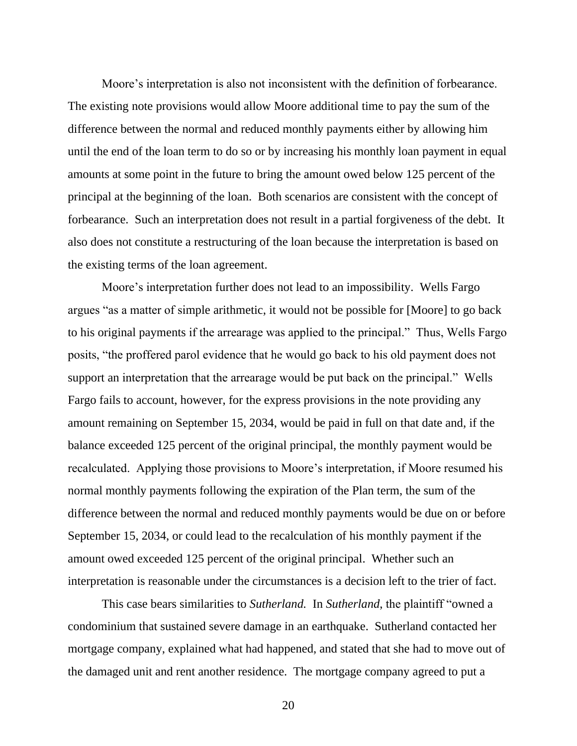Moore's interpretation is also not inconsistent with the definition of forbearance. The existing note provisions would allow Moore additional time to pay the sum of the difference between the normal and reduced monthly payments either by allowing him until the end of the loan term to do so or by increasing his monthly loan payment in equal amounts at some point in the future to bring the amount owed below 125 percent of the principal at the beginning of the loan. Both scenarios are consistent with the concept of forbearance. Such an interpretation does not result in a partial forgiveness of the debt. It also does not constitute a restructuring of the loan because the interpretation is based on the existing terms of the loan agreement.

Moore's interpretation further does not lead to an impossibility. Wells Fargo argues "as a matter of simple arithmetic, it would not be possible for [Moore] to go back to his original payments if the arrearage was applied to the principal." Thus, Wells Fargo posits, "the proffered parol evidence that he would go back to his old payment does not support an interpretation that the arrearage would be put back on the principal." Wells Fargo fails to account, however, for the express provisions in the note providing any amount remaining on September 15, 2034, would be paid in full on that date and, if the balance exceeded 125 percent of the original principal, the monthly payment would be recalculated. Applying those provisions to Moore's interpretation, if Moore resumed his normal monthly payments following the expiration of the Plan term, the sum of the difference between the normal and reduced monthly payments would be due on or before September 15, 2034, or could lead to the recalculation of his monthly payment if the amount owed exceeded 125 percent of the original principal. Whether such an interpretation is reasonable under the circumstances is a decision left to the trier of fact.

This case bears similarities to *Sutherland.* In *Sutherland*, the plaintiff "owned a condominium that sustained severe damage in an earthquake. Sutherland contacted her mortgage company, explained what had happened, and stated that she had to move out of the damaged unit and rent another residence. The mortgage company agreed to put a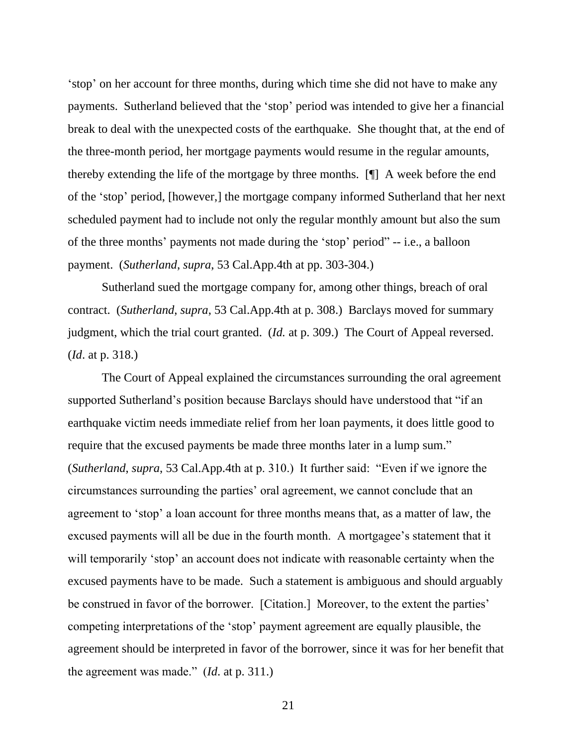'stop' on her account for three months, during which time she did not have to make any payments. Sutherland believed that the 'stop' period was intended to give her a financial break to deal with the unexpected costs of the earthquake. She thought that, at the end of the three-month period, her mortgage payments would resume in the regular amounts, thereby extending the life of the mortgage by three months. [¶] A week before the end of the 'stop' period, [however,] the mortgage company informed Sutherland that her next scheduled payment had to include not only the regular monthly amount but also the sum of the three months' payments not made during the 'stop' period" -- i.e., a balloon payment. (*Sutherland*, *supra*, 53 Cal.App.4th at pp. 303-304.)

Sutherland sued the mortgage company for, among other things, breach of oral contract. (*Sutherland*, *supra*, 53 Cal.App.4th at p. 308.) Barclays moved for summary judgment, which the trial court granted. (*Id.* at p. 309.) The Court of Appeal reversed. (*Id*. at p. 318.)

The Court of Appeal explained the circumstances surrounding the oral agreement supported Sutherland's position because Barclays should have understood that "if an earthquake victim needs immediate relief from her loan payments, it does little good to require that the excused payments be made three months later in a lump sum." (*Sutherland*, *supra*, 53 Cal.App.4th at p. 310.) It further said: "Even if we ignore the circumstances surrounding the parties' oral agreement, we cannot conclude that an agreement to 'stop' a loan account for three months means that, as a matter of law, the excused payments will all be due in the fourth month. A mortgagee's statement that it will temporarily 'stop' an account does not indicate with reasonable certainty when the excused payments have to be made. Such a statement is ambiguous and should arguably be construed in favor of the borrower. [Citation.] Moreover, to the extent the parties' competing interpretations of the 'stop' payment agreement are equally plausible, the agreement should be interpreted in favor of the borrower, since it was for her benefit that the agreement was made." (*Id*. at p. 311.)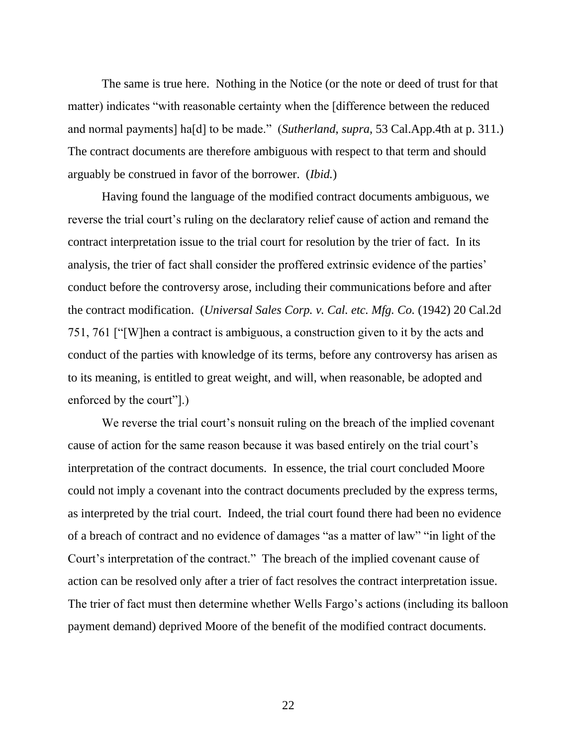The same is true here. Nothing in the Notice (or the note or deed of trust for that matter) indicates "with reasonable certainty when the [difference between the reduced and normal payments] ha[d] to be made." (*Sutherland*, *supra*, 53 Cal.App.4th at p. 311.) The contract documents are therefore ambiguous with respect to that term and should arguably be construed in favor of the borrower. (*Ibid.*)

Having found the language of the modified contract documents ambiguous, we reverse the trial court's ruling on the declaratory relief cause of action and remand the contract interpretation issue to the trial court for resolution by the trier of fact. In its analysis, the trier of fact shall consider the proffered extrinsic evidence of the parties' conduct before the controversy arose, including their communications before and after the contract modification. (*Universal Sales Corp. v. Cal. etc. Mfg. Co.* (1942) 20 Cal.2d 751, 761 ["[W]hen a contract is ambiguous, a construction given to it by the acts and conduct of the parties with knowledge of its terms, before any controversy has arisen as to its meaning, is entitled to great weight, and will, when reasonable, be adopted and enforced by the court"].)

We reverse the trial court's nonsuit ruling on the breach of the implied covenant cause of action for the same reason because it was based entirely on the trial court's interpretation of the contract documents. In essence, the trial court concluded Moore could not imply a covenant into the contract documents precluded by the express terms, as interpreted by the trial court. Indeed, the trial court found there had been no evidence of a breach of contract and no evidence of damages "as a matter of law" "in light of the Court's interpretation of the contract." The breach of the implied covenant cause of action can be resolved only after a trier of fact resolves the contract interpretation issue. The trier of fact must then determine whether Wells Fargo's actions (including its balloon payment demand) deprived Moore of the benefit of the modified contract documents.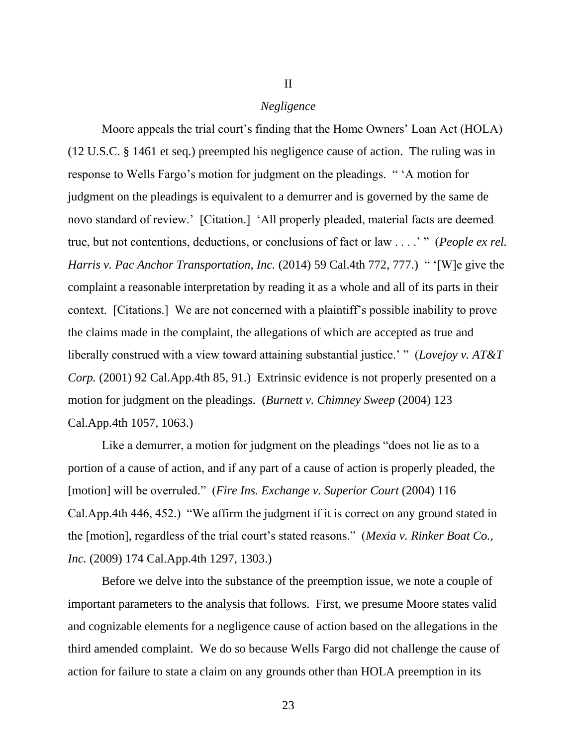### *Negligence*

II

Moore appeals the trial court's finding that the Home Owners' Loan Act (HOLA) (12 U.S.C. § 1461 et seq.) preempted his negligence cause of action. The ruling was in response to Wells Fargo's motion for judgment on the pleadings. " 'A motion for judgment on the pleadings is equivalent to a demurrer and is governed by the same de novo standard of review.' [Citation.] 'All properly pleaded, material facts are deemed true, but not contentions, deductions, or conclusions of fact or law . . . .' " (*People ex rel. Harris v. Pac Anchor Transportation, Inc.* (2014) 59 Cal.4th 772, 777.) " '[W]e give the complaint a reasonable interpretation by reading it as a whole and all of its parts in their context. [Citations.] We are not concerned with a plaintiff's possible inability to prove the claims made in the complaint, the allegations of which are accepted as true and liberally construed with a view toward attaining substantial justice.' " (*Lovejoy v. AT&T Corp.* (2001) 92 Cal.App.4th 85, 91.) Extrinsic evidence is not properly presented on a motion for judgment on the pleadings. (*Burnett v. Chimney Sweep* (2004) 123 Cal.App.4th 1057, 1063.)

Like a demurrer, a motion for judgment on the pleadings "does not lie as to a portion of a cause of action, and if any part of a cause of action is properly pleaded, the [motion] will be overruled." (*Fire Ins. Exchange v. Superior Court* (2004) 116 Cal.App.4th 446, 452.) "We affirm the judgment if it is correct on any ground stated in the [motion], regardless of the trial court's stated reasons." (*Mexia v. Rinker Boat Co., Inc.* (2009) 174 Cal.App.4th 1297, 1303.)

Before we delve into the substance of the preemption issue, we note a couple of important parameters to the analysis that follows. First, we presume Moore states valid and cognizable elements for a negligence cause of action based on the allegations in the third amended complaint. We do so because Wells Fargo did not challenge the cause of action for failure to state a claim on any grounds other than HOLA preemption in its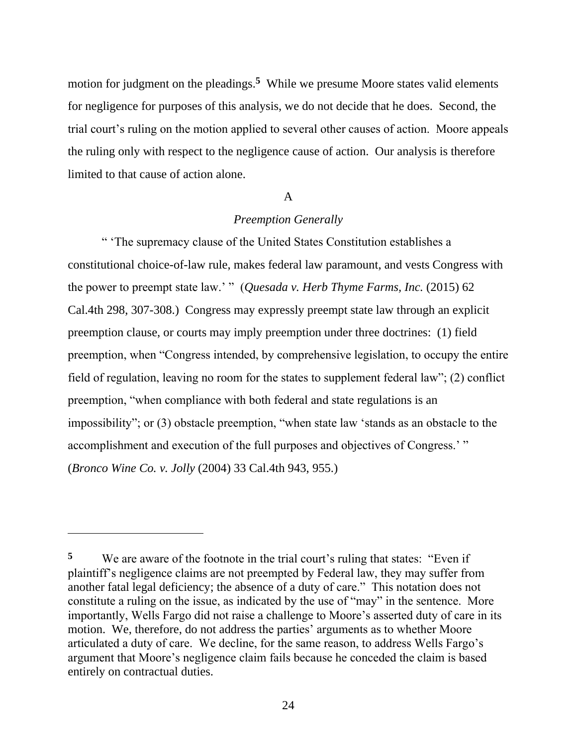motion for judgment on the pleadings.**<sup>5</sup>** While we presume Moore states valid elements for negligence for purposes of this analysis, we do not decide that he does. Second, the trial court's ruling on the motion applied to several other causes of action. Moore appeals the ruling only with respect to the negligence cause of action. Our analysis is therefore limited to that cause of action alone.

# A

# *Preemption Generally*

" 'The supremacy clause of the United States Constitution establishes a constitutional choice-of-law rule, makes federal law paramount, and vests Congress with the power to preempt state law.' " (*Quesada v. Herb Thyme Farms, Inc.* (2015) 62 Cal.4th 298, 307-308.) Congress may expressly preempt state law through an explicit preemption clause, or courts may imply preemption under three doctrines: (1) field preemption, when "Congress intended, by comprehensive legislation, to occupy the entire field of regulation, leaving no room for the states to supplement federal law"; (2) conflict preemption, "when compliance with both federal and state regulations is an impossibility"; or (3) obstacle preemption, "when state law 'stands as an obstacle to the accomplishment and execution of the full purposes and objectives of Congress.' " (*Bronco Wine Co. v. Jolly* (2004) 33 Cal.4th 943, 955.)

**<sup>5</sup>** We are aware of the footnote in the trial court's ruling that states: "Even if plaintiff's negligence claims are not preempted by Federal law, they may suffer from another fatal legal deficiency; the absence of a duty of care." This notation does not constitute a ruling on the issue, as indicated by the use of "may" in the sentence. More importantly, Wells Fargo did not raise a challenge to Moore's asserted duty of care in its motion. We, therefore, do not address the parties' arguments as to whether Moore articulated a duty of care. We decline, for the same reason, to address Wells Fargo's argument that Moore's negligence claim fails because he conceded the claim is based entirely on contractual duties.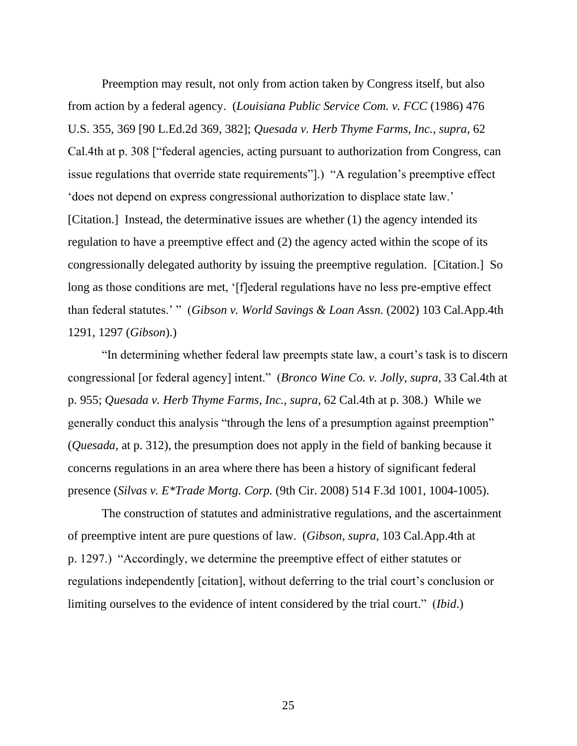Preemption may result, not only from action taken by Congress itself, but also from action by a federal agency. (*Louisiana Public Service Com. v. FCC* (1986) 476 U.S. 355, 369 [90 L.Ed.2d 369, 382]; *Quesada v. Herb Thyme Farms, Inc.*, *supra*, 62 Cal.4th at p. 308 ["federal agencies, acting pursuant to authorization from Congress, can issue regulations that override state requirements"].) "A regulation's preemptive effect 'does not depend on express congressional authorization to displace state law.' [Citation.] Instead, the determinative issues are whether (1) the agency intended its regulation to have a preemptive effect and (2) the agency acted within the scope of its congressionally delegated authority by issuing the preemptive regulation. [Citation.] So long as those conditions are met, '[f]ederal regulations have no less pre-emptive effect than federal statutes.' " (*Gibson v. World Savings & Loan Assn.* (2002) 103 Cal.App.4th 1291, 1297 (*Gibson*).)

"In determining whether federal law preempts state law, a court's task is to discern congressional [or federal agency] intent." (*Bronco Wine Co. v. Jolly*, *supra*, 33 Cal.4th at p. 955; *Quesada v. Herb Thyme Farms, Inc.*, *supra*, 62 Cal.4th at p. 308.) While we generally conduct this analysis "through the lens of a presumption against preemption" (*Quesada*, at p. 312), the presumption does not apply in the field of banking because it concerns regulations in an area where there has been a history of significant federal presence (*Silvas v. E\*Trade Mortg. Corp.* (9th Cir. 2008) 514 F.3d 1001, 1004-1005).

The construction of statutes and administrative regulations, and the ascertainment of preemptive intent are pure questions of law. (*Gibson*, *supra*, 103 Cal.App.4th at p. 1297.) "Accordingly, we determine the preemptive effect of either statutes or regulations independently [citation], without deferring to the trial court's conclusion or limiting ourselves to the evidence of intent considered by the trial court." (*Ibid*.)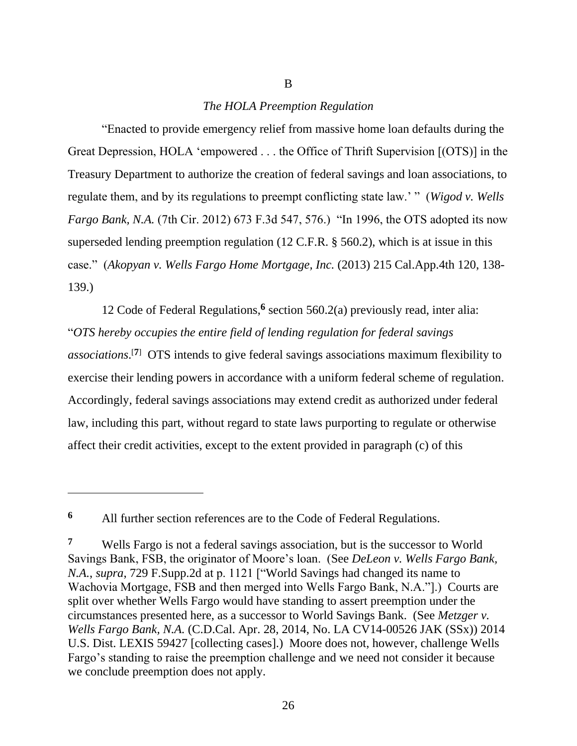# *The HOLA Preemption Regulation*

B

"Enacted to provide emergency relief from massive home loan defaults during the Great Depression, HOLA 'empowered . . . the Office of Thrift Supervision [(OTS)] in the Treasury Department to authorize the creation of federal savings and loan associations, to regulate them, and by its regulations to preempt conflicting state law.' " (*Wigod v. Wells Fargo Bank, N.A.* (7th Cir. 2012) 673 F.3d 547, 576.) "In 1996, the OTS adopted its now superseded lending preemption regulation (12 C.F.R. § 560.2), which is at issue in this case." (*Akopyan v. Wells Fargo Home Mortgage, Inc.* (2013) 215 Cal.App.4th 120, 138- 139.)

12 Code of Federal Regulations,**<sup>6</sup>** section 560.2(a) previously read, inter alia: "*OTS hereby occupies the entire field of lending regulation for federal savings associations*. [**7**] OTS intends to give federal savings associations maximum flexibility to exercise their lending powers in accordance with a uniform federal scheme of regulation. Accordingly, federal savings associations may extend credit as authorized under federal law, including this part, without regard to state laws purporting to regulate or otherwise affect their credit activities, except to the extent provided in paragraph (c) of this

**<sup>6</sup>** All further section references are to the Code of Federal Regulations.

**<sup>7</sup>** Wells Fargo is not a federal savings association, but is the successor to World Savings Bank, FSB, the originator of Moore's loan. (See *DeLeon v. Wells Fargo Bank, N.A.*, *supra*, 729 F.Supp.2d at p. 1121 ["World Savings had changed its name to Wachovia Mortgage, FSB and then merged into Wells Fargo Bank, N.A."].) Courts are split over whether Wells Fargo would have standing to assert preemption under the circumstances presented here, as a successor to World Savings Bank. (See *Metzger v. Wells Fargo Bank, N.A.* (C.D.Cal. Apr. 28, 2014, No. LA CV14-00526 JAK (SSx)) 2014 U.S. Dist. LEXIS 59427 [collecting cases].) Moore does not, however, challenge Wells Fargo's standing to raise the preemption challenge and we need not consider it because we conclude preemption does not apply.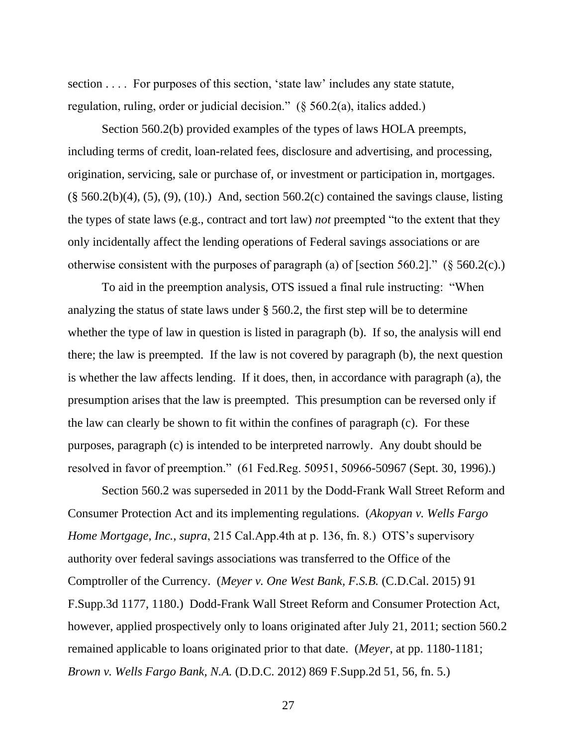section . . . . For purposes of this section, 'state law' includes any state statute, regulation, ruling, order or judicial decision." (§ 560.2(a), italics added.)

Section 560.2(b) provided examples of the types of laws HOLA preempts, including terms of credit, loan-related fees, disclosure and advertising, and processing, origination, servicing, sale or purchase of, or investment or participation in, mortgages.  $(\S 560.2(b)(4), (5), (9), (10))$  And, section 560.2(c) contained the savings clause, listing the types of state laws (e.g., contract and tort law) *not* preempted "to the extent that they only incidentally affect the lending operations of Federal savings associations or are otherwise consistent with the purposes of paragraph (a) of [section 560.2]." (§ 560.2(c).)

To aid in the preemption analysis, OTS issued a final rule instructing: "When analyzing the status of state laws under § 560.2, the first step will be to determine whether the type of law in question is listed in paragraph (b). If so, the analysis will end there; the law is preempted. If the law is not covered by paragraph (b), the next question is whether the law affects lending. If it does, then, in accordance with paragraph (a), the presumption arises that the law is preempted. This presumption can be reversed only if the law can clearly be shown to fit within the confines of paragraph (c). For these purposes, paragraph (c) is intended to be interpreted narrowly. Any doubt should be resolved in favor of preemption." (61 Fed.Reg. 50951, 50966-50967 (Sept. 30, 1996).)

Section 560.2 was superseded in 2011 by the Dodd-Frank Wall Street Reform and Consumer Protection Act and its implementing regulations. (*Akopyan v. Wells Fargo Home Mortgage, Inc.*, *supra*, 215 Cal.App.4th at p. 136, fn. 8.) OTS's supervisory authority over federal savings associations was transferred to the Office of the Comptroller of the Currency. (*Meyer v. One West Bank, F.S.B.* (C.D.Cal. 2015) 91 F.Supp.3d 1177, 1180.) Dodd-Frank Wall Street Reform and Consumer Protection Act, however, applied prospectively only to loans originated after July 21, 2011; section 560.2 remained applicable to loans originated prior to that date. (*Meyer*, at pp. 1180-1181; *Brown v. Wells Fargo Bank, N.A.* (D.D.C. 2012) 869 F.Supp.2d 51, 56, fn. 5.)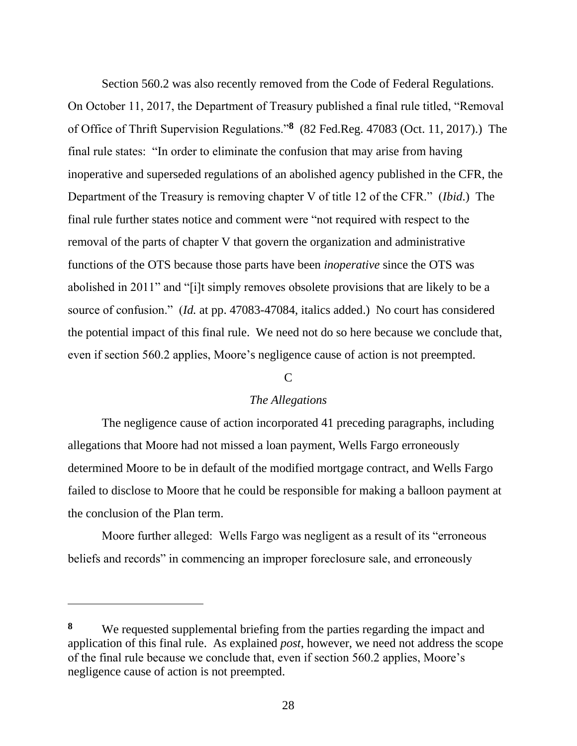Section 560.2 was also recently removed from the Code of Federal Regulations. On October 11, 2017, the Department of Treasury published a final rule titled, "Removal of Office of Thrift Supervision Regulations."**<sup>8</sup>** (82 Fed.Reg. 47083 (Oct. 11, 2017).) The final rule states: "In order to eliminate the confusion that may arise from having inoperative and superseded regulations of an abolished agency published in the CFR, the Department of the Treasury is removing chapter V of title 12 of the CFR." (*Ibid*.) The final rule further states notice and comment were "not required with respect to the removal of the parts of chapter V that govern the organization and administrative functions of the OTS because those parts have been *inoperative* since the OTS was abolished in 2011" and "[i]t simply removes obsolete provisions that are likely to be a source of confusion." (*Id.* at pp. 47083-47084, italics added.) No court has considered the potential impact of this final rule. We need not do so here because we conclude that, even if section 560.2 applies, Moore's negligence cause of action is not preempted.

# $\mathcal{C}$

# *The Allegations*

The negligence cause of action incorporated 41 preceding paragraphs, including allegations that Moore had not missed a loan payment, Wells Fargo erroneously determined Moore to be in default of the modified mortgage contract, and Wells Fargo failed to disclose to Moore that he could be responsible for making a balloon payment at the conclusion of the Plan term.

Moore further alleged: Wells Fargo was negligent as a result of its "erroneous beliefs and records" in commencing an improper foreclosure sale, and erroneously

**<sup>8</sup>** We requested supplemental briefing from the parties regarding the impact and application of this final rule. As explained *post*, however, we need not address the scope of the final rule because we conclude that, even if section 560.2 applies, Moore's negligence cause of action is not preempted.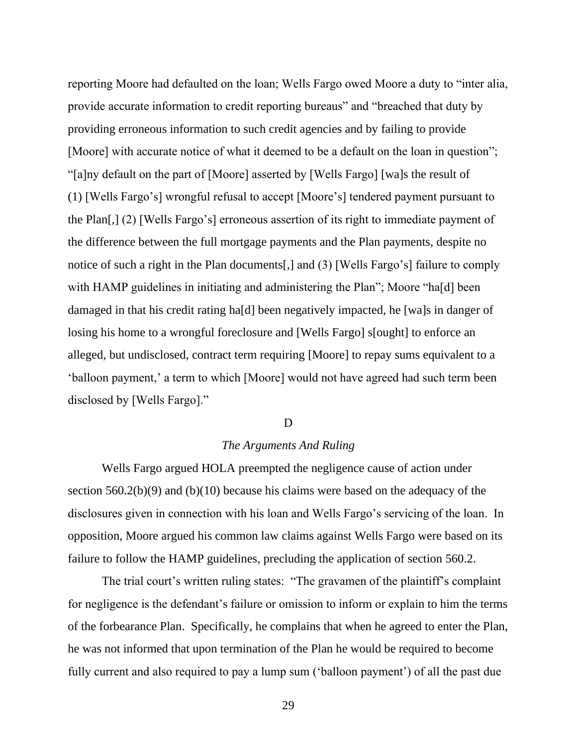reporting Moore had defaulted on the loan; Wells Fargo owed Moore a duty to "inter alia, provide accurate information to credit reporting bureaus" and "breached that duty by providing erroneous information to such credit agencies and by failing to provide [Moore] with accurate notice of what it deemed to be a default on the loan in question"; "[a]ny default on the part of [Moore] asserted by [Wells Fargo] [wa]s the result of (1) [Wells Fargo's] wrongful refusal to accept [Moore's] tendered payment pursuant to the Plan[,] (2) [Wells Fargo's] erroneous assertion of its right to immediate payment of the difference between the full mortgage payments and the Plan payments, despite no notice of such a right in the Plan documents[,] and (3) [Wells Fargo's] failure to comply with HAMP guidelines in initiating and administering the Plan"; Moore "ha[d] been damaged in that his credit rating ha[d] been negatively impacted, he [wa]s in danger of losing his home to a wrongful foreclosure and [Wells Fargo] s[ought] to enforce an alleged, but undisclosed, contract term requiring [Moore] to repay sums equivalent to a 'balloon payment,' a term to which [Moore] would not have agreed had such term been disclosed by [Wells Fargo]."

## D

# *The Arguments And Ruling*

Wells Fargo argued HOLA preempted the negligence cause of action under section 560.2(b)(9) and (b)(10) because his claims were based on the adequacy of the disclosures given in connection with his loan and Wells Fargo's servicing of the loan. In opposition, Moore argued his common law claims against Wells Fargo were based on its failure to follow the HAMP guidelines, precluding the application of section 560.2.

The trial court's written ruling states: "The gravamen of the plaintiff's complaint for negligence is the defendant's failure or omission to inform or explain to him the terms of the forbearance Plan. Specifically, he complains that when he agreed to enter the Plan, he was not informed that upon termination of the Plan he would be required to become fully current and also required to pay a lump sum ('balloon payment') of all the past due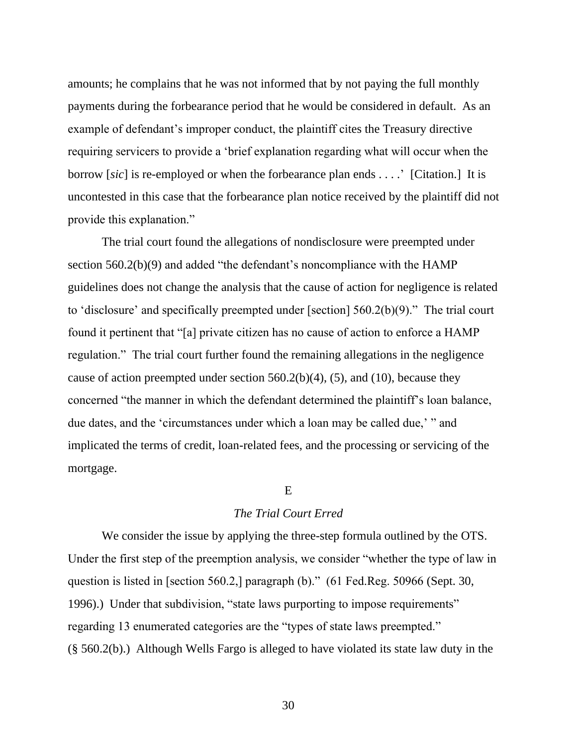amounts; he complains that he was not informed that by not paying the full monthly payments during the forbearance period that he would be considered in default. As an example of defendant's improper conduct, the plaintiff cites the Treasury directive requiring servicers to provide a 'brief explanation regarding what will occur when the borrow [*sic*] is re-employed or when the forbearance plan ends . . . .' [Citation.] It is uncontested in this case that the forbearance plan notice received by the plaintiff did not provide this explanation."

The trial court found the allegations of nondisclosure were preempted under section 560.2(b)(9) and added "the defendant's noncompliance with the HAMP guidelines does not change the analysis that the cause of action for negligence is related to 'disclosure' and specifically preempted under [section] 560.2(b)(9)." The trial court found it pertinent that "[a] private citizen has no cause of action to enforce a HAMP regulation." The trial court further found the remaining allegations in the negligence cause of action preempted under section  $560.2(b)(4)$ ,  $(5)$ , and  $(10)$ , because they concerned "the manner in which the defendant determined the plaintiff's loan balance, due dates, and the 'circumstances under which a loan may be called due,' " and implicated the terms of credit, loan-related fees, and the processing or servicing of the mortgage.

## E

## *The Trial Court Erred*

We consider the issue by applying the three-step formula outlined by the OTS. Under the first step of the preemption analysis, we consider "whether the type of law in question is listed in [section 560.2,] paragraph (b)." (61 Fed.Reg. 50966 (Sept. 30, 1996).) Under that subdivision, "state laws purporting to impose requirements" regarding 13 enumerated categories are the "types of state laws preempted." (§ 560.2(b).) Although Wells Fargo is alleged to have violated its state law duty in the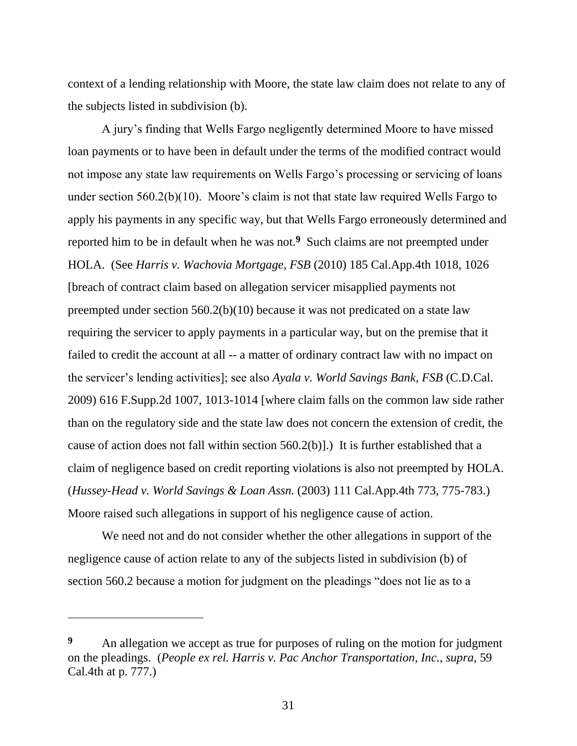context of a lending relationship with Moore, the state law claim does not relate to any of the subjects listed in subdivision (b).

A jury's finding that Wells Fargo negligently determined Moore to have missed loan payments or to have been in default under the terms of the modified contract would not impose any state law requirements on Wells Fargo's processing or servicing of loans under section 560.2(b)(10). Moore's claim is not that state law required Wells Fargo to apply his payments in any specific way, but that Wells Fargo erroneously determined and reported him to be in default when he was not.**<sup>9</sup>** Such claims are not preempted under HOLA. (See *Harris v. Wachovia Mortgage, FSB* (2010) 185 Cal.App.4th 1018, 1026 [breach of contract claim based on allegation servicer misapplied payments not preempted under section 560.2(b)(10) because it was not predicated on a state law requiring the servicer to apply payments in a particular way, but on the premise that it failed to credit the account at all -- a matter of ordinary contract law with no impact on the servicer's lending activities]; see also *Ayala v. World Savings Bank, FSB* (C.D.Cal. 2009) 616 F.Supp.2d 1007, 1013-1014 [where claim falls on the common law side rather than on the regulatory side and the state law does not concern the extension of credit, the cause of action does not fall within section 560.2(b)].) It is further established that a claim of negligence based on credit reporting violations is also not preempted by HOLA. (*Hussey-Head v. World Savings & Loan Assn.* (2003) 111 Cal.App.4th 773, 775-783.) Moore raised such allegations in support of his negligence cause of action.

We need not and do not consider whether the other allegations in support of the negligence cause of action relate to any of the subjects listed in subdivision (b) of section 560.2 because a motion for judgment on the pleadings "does not lie as to a

**<sup>9</sup>** An allegation we accept as true for purposes of ruling on the motion for judgment on the pleadings. (*People ex rel. Harris v. Pac Anchor Transportation, Inc.*, *supra*, 59 Cal.4th at p. 777.)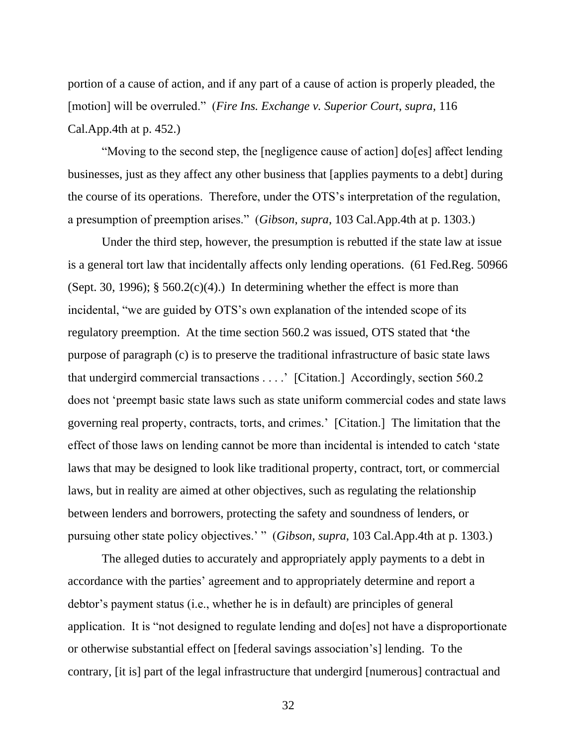portion of a cause of action, and if any part of a cause of action is properly pleaded, the [motion] will be overruled." (*Fire Ins. Exchange v. Superior Court*, *supra*, 116 Cal.App.4th at p. 452.)

"Moving to the second step, the [negligence cause of action] do[es] affect lending businesses, just as they affect any other business that [applies payments to a debt] during the course of its operations. Therefore, under the OTS's interpretation of the regulation, a presumption of preemption arises." (*Gibson*, *supra*, 103 Cal.App.4th at p. 1303.)

Under the third step, however, the presumption is rebutted if the state law at issue is a general tort law that incidentally affects only lending operations. (61 Fed.Reg. 50966 (Sept. 30, 1996);  $\S$  560.2(c)(4).) In determining whether the effect is more than incidental, "we are guided by OTS's own explanation of the intended scope of its regulatory preemption. At the time section 560.2 was issued, OTS stated that **'**the purpose of paragraph (c) is to preserve the traditional infrastructure of basic state laws that undergird commercial transactions . . . .' [Citation.] Accordingly, section 560.2 does not 'preempt basic state laws such as state uniform commercial codes and state laws governing real property, contracts, torts, and crimes.' [Citation.] The limitation that the effect of those laws on lending cannot be more than incidental is intended to catch 'state laws that may be designed to look like traditional property, contract, tort, or commercial laws, but in reality are aimed at other objectives, such as regulating the relationship between lenders and borrowers, protecting the safety and soundness of lenders, or pursuing other state policy objectives.' " (*Gibson*, *supra*, 103 Cal.App.4th at p. 1303.)

The alleged duties to accurately and appropriately apply payments to a debt in accordance with the parties' agreement and to appropriately determine and report a debtor's payment status (i.e., whether he is in default) are principles of general application. It is "not designed to regulate lending and do[es] not have a disproportionate or otherwise substantial effect on [federal savings association's] lending. To the contrary, [it is] part of the legal infrastructure that undergird [numerous] contractual and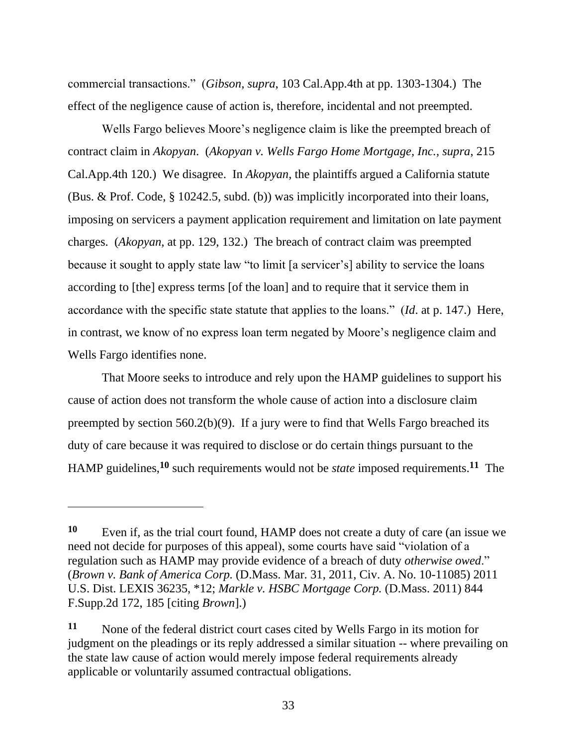commercial transactions." (*Gibson*, *supra*, 103 Cal.App.4th at pp. 1303-1304.) The effect of the negligence cause of action is, therefore, incidental and not preempted.

Wells Fargo believes Moore's negligence claim is like the preempted breach of contract claim in *Akopyan*. (*Akopyan v. Wells Fargo Home Mortgage, Inc.*, *supra*, 215 Cal.App.4th 120.) We disagree. In *Akopyan*, the plaintiffs argued a California statute (Bus. & Prof. Code, § 10242.5, subd. (b)) was implicitly incorporated into their loans, imposing on servicers a payment application requirement and limitation on late payment charges. (*Akopyan*, at pp. 129, 132.) The breach of contract claim was preempted because it sought to apply state law "to limit [a servicer's] ability to service the loans according to [the] express terms [of the loan] and to require that it service them in accordance with the specific state statute that applies to the loans." (*Id*. at p. 147.) Here, in contrast, we know of no express loan term negated by Moore's negligence claim and Wells Fargo identifies none.

That Moore seeks to introduce and rely upon the HAMP guidelines to support his cause of action does not transform the whole cause of action into a disclosure claim preempted by section 560.2(b)(9). If a jury were to find that Wells Fargo breached its duty of care because it was required to disclose or do certain things pursuant to the HAMP guidelines,**<sup>10</sup>** such requirements would not be *state* imposed requirements.**<sup>11</sup>** The

**<sup>10</sup>** Even if, as the trial court found, HAMP does not create a duty of care (an issue we need not decide for purposes of this appeal), some courts have said "violation of a regulation such as HAMP may provide evidence of a breach of duty *otherwise owed*." (*Brown v. Bank of America Corp.* (D.Mass. Mar. 31, 2011, Civ. A. No. 10-11085) 2011 U.S. Dist. LEXIS 36235, \*12; *Markle v. HSBC Mortgage Corp.* (D.Mass. 2011) 844 F.Supp.2d 172, 185 [citing *Brown*].)

**<sup>11</sup>** None of the federal district court cases cited by Wells Fargo in its motion for judgment on the pleadings or its reply addressed a similar situation -- where prevailing on the state law cause of action would merely impose federal requirements already applicable or voluntarily assumed contractual obligations.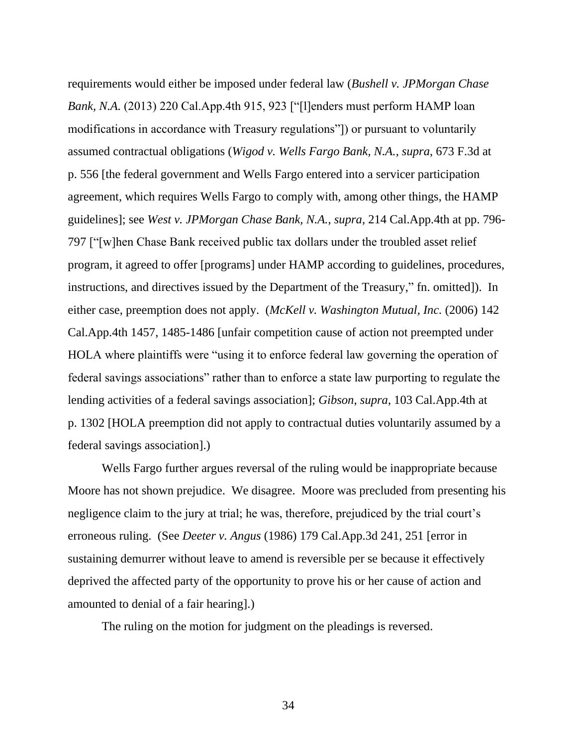requirements would either be imposed under federal law (*Bushell v. JPMorgan Chase Bank, N.A.* (2013) 220 Cal.App.4th 915, 923 ["[l]enders must perform HAMP loan modifications in accordance with Treasury regulations"]) or pursuant to voluntarily assumed contractual obligations (*Wigod v. Wells Fargo Bank, N.A.*, *supra*, 673 F.3d at p. 556 [the federal government and Wells Fargo entered into a servicer participation agreement, which requires Wells Fargo to comply with, among other things, the HAMP guidelines]; see *West v. JPMorgan Chase Bank, N.A.*, *supra*, 214 Cal.App.4th at pp. 796- 797 ["[w]hen Chase Bank received public tax dollars under the troubled asset relief program, it agreed to offer [programs] under HAMP according to guidelines, procedures, instructions, and directives issued by the Department of the Treasury," fn. omitted]). In either case, preemption does not apply. (*McKell v. Washington Mutual, Inc.* (2006) 142 Cal.App.4th 1457, 1485-1486 [unfair competition cause of action not preempted under HOLA where plaintiffs were "using it to enforce federal law governing the operation of federal savings associations" rather than to enforce a state law purporting to regulate the lending activities of a federal savings association]; *Gibson*, *supra*, 103 Cal.App.4th at p. 1302 [HOLA preemption did not apply to contractual duties voluntarily assumed by a federal savings association].)

Wells Fargo further argues reversal of the ruling would be inappropriate because Moore has not shown prejudice. We disagree. Moore was precluded from presenting his negligence claim to the jury at trial; he was, therefore, prejudiced by the trial court's erroneous ruling. (See *Deeter v. Angus* (1986) 179 Cal.App.3d 241, 251 [error in sustaining demurrer without leave to amend is reversible per se because it effectively deprived the affected party of the opportunity to prove his or her cause of action and amounted to denial of a fair hearing].)

The ruling on the motion for judgment on the pleadings is reversed.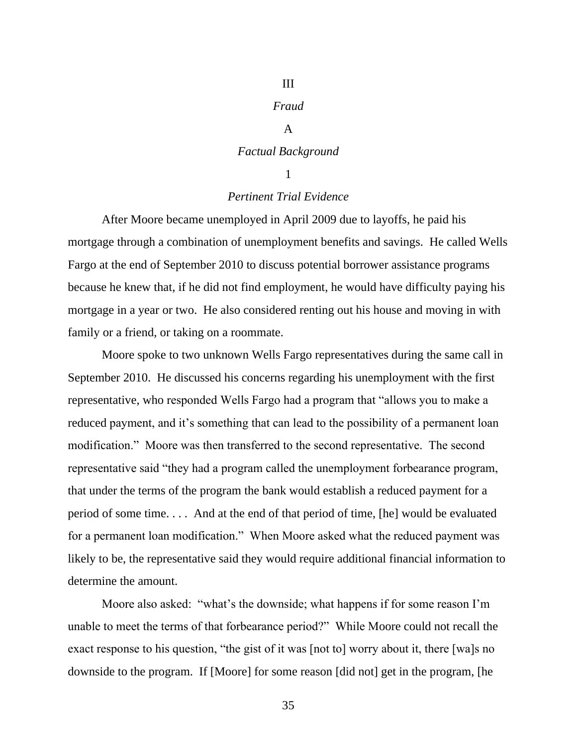# III

# *Fraud*

# A

# *Factual Background*

# 1

# *Pertinent Trial Evidence*

After Moore became unemployed in April 2009 due to layoffs, he paid his mortgage through a combination of unemployment benefits and savings. He called Wells Fargo at the end of September 2010 to discuss potential borrower assistance programs because he knew that, if he did not find employment, he would have difficulty paying his mortgage in a year or two. He also considered renting out his house and moving in with family or a friend, or taking on a roommate.

Moore spoke to two unknown Wells Fargo representatives during the same call in September 2010. He discussed his concerns regarding his unemployment with the first representative, who responded Wells Fargo had a program that "allows you to make a reduced payment, and it's something that can lead to the possibility of a permanent loan modification." Moore was then transferred to the second representative. The second representative said "they had a program called the unemployment forbearance program, that under the terms of the program the bank would establish a reduced payment for a period of some time. . . . And at the end of that period of time, [he] would be evaluated for a permanent loan modification." When Moore asked what the reduced payment was likely to be, the representative said they would require additional financial information to determine the amount.

Moore also asked: "what's the downside; what happens if for some reason I'm unable to meet the terms of that forbearance period?" While Moore could not recall the exact response to his question, "the gist of it was [not to] worry about it, there [wa]s no downside to the program. If [Moore] for some reason [did not] get in the program, [he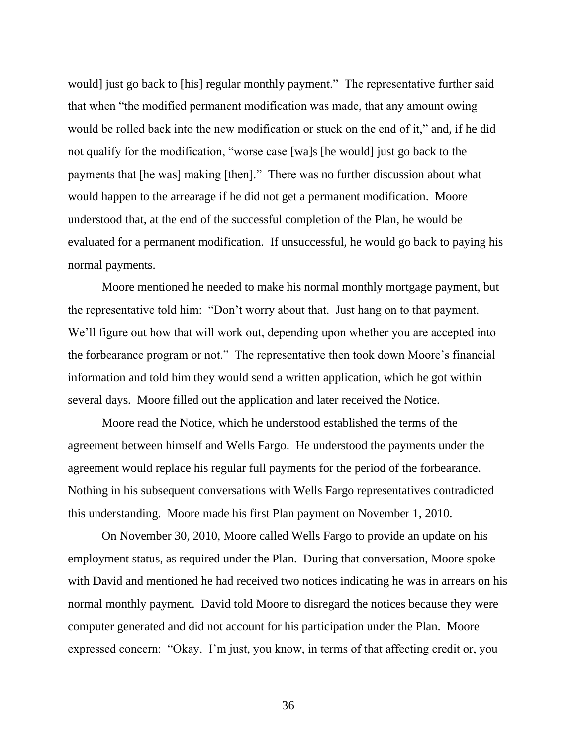would] just go back to [his] regular monthly payment." The representative further said that when "the modified permanent modification was made, that any amount owing would be rolled back into the new modification or stuck on the end of it," and, if he did not qualify for the modification, "worse case [wa]s [he would] just go back to the payments that [he was] making [then]." There was no further discussion about what would happen to the arrearage if he did not get a permanent modification. Moore understood that, at the end of the successful completion of the Plan, he would be evaluated for a permanent modification. If unsuccessful, he would go back to paying his normal payments.

Moore mentioned he needed to make his normal monthly mortgage payment, but the representative told him: "Don't worry about that. Just hang on to that payment. We'll figure out how that will work out, depending upon whether you are accepted into the forbearance program or not." The representative then took down Moore's financial information and told him they would send a written application, which he got within several days. Moore filled out the application and later received the Notice.

Moore read the Notice, which he understood established the terms of the agreement between himself and Wells Fargo. He understood the payments under the agreement would replace his regular full payments for the period of the forbearance. Nothing in his subsequent conversations with Wells Fargo representatives contradicted this understanding. Moore made his first Plan payment on November 1, 2010.

On November 30, 2010, Moore called Wells Fargo to provide an update on his employment status, as required under the Plan. During that conversation, Moore spoke with David and mentioned he had received two notices indicating he was in arrears on his normal monthly payment. David told Moore to disregard the notices because they were computer generated and did not account for his participation under the Plan. Moore expressed concern: "Okay. I'm just, you know, in terms of that affecting credit or, you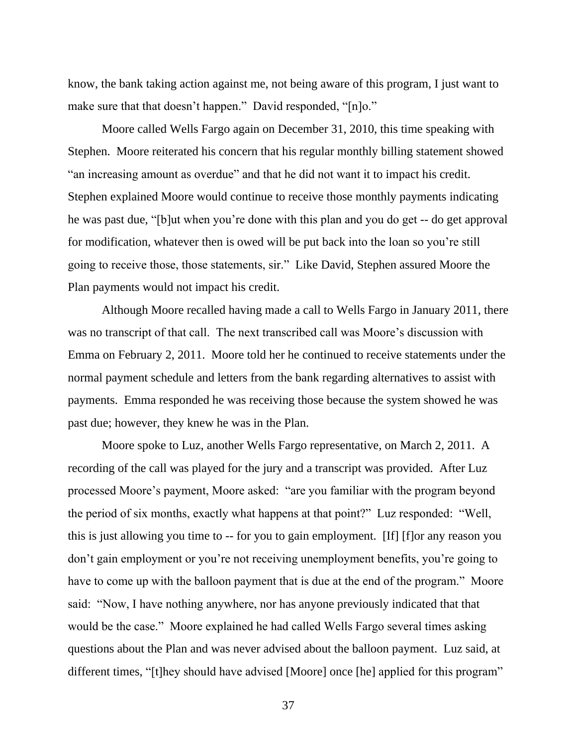know, the bank taking action against me, not being aware of this program, I just want to make sure that that doesn't happen." David responded, "[n]o."

Moore called Wells Fargo again on December 31, 2010, this time speaking with Stephen. Moore reiterated his concern that his regular monthly billing statement showed "an increasing amount as overdue" and that he did not want it to impact his credit. Stephen explained Moore would continue to receive those monthly payments indicating he was past due, "[b]ut when you're done with this plan and you do get -- do get approval for modification, whatever then is owed will be put back into the loan so you're still going to receive those, those statements, sir." Like David, Stephen assured Moore the Plan payments would not impact his credit.

Although Moore recalled having made a call to Wells Fargo in January 2011, there was no transcript of that call. The next transcribed call was Moore's discussion with Emma on February 2, 2011. Moore told her he continued to receive statements under the normal payment schedule and letters from the bank regarding alternatives to assist with payments. Emma responded he was receiving those because the system showed he was past due; however, they knew he was in the Plan.

Moore spoke to Luz, another Wells Fargo representative, on March 2, 2011. A recording of the call was played for the jury and a transcript was provided. After Luz processed Moore's payment, Moore asked: "are you familiar with the program beyond the period of six months, exactly what happens at that point?" Luz responded: "Well, this is just allowing you time to -- for you to gain employment. [If] [f]or any reason you don't gain employment or you're not receiving unemployment benefits, you're going to have to come up with the balloon payment that is due at the end of the program." Moore said: "Now, I have nothing anywhere, nor has anyone previously indicated that that would be the case." Moore explained he had called Wells Fargo several times asking questions about the Plan and was never advised about the balloon payment. Luz said, at different times, "[t]hey should have advised [Moore] once [he] applied for this program"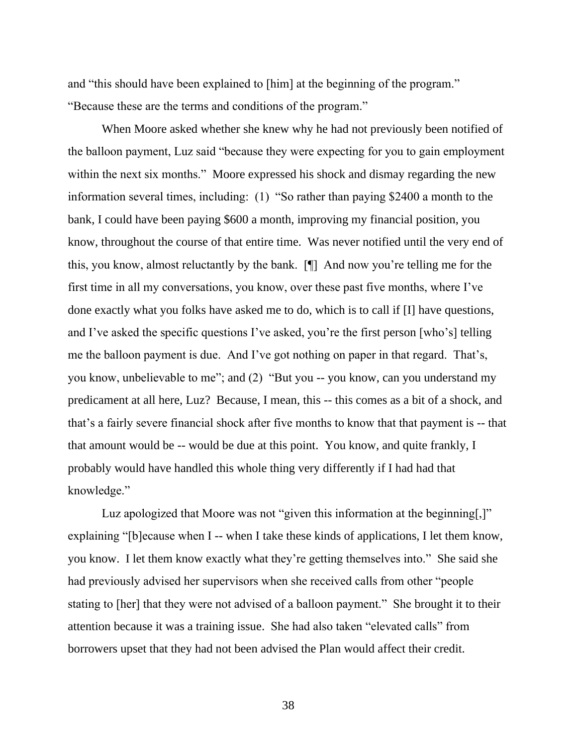and "this should have been explained to [him] at the beginning of the program." "Because these are the terms and conditions of the program."

When Moore asked whether she knew why he had not previously been notified of the balloon payment, Luz said "because they were expecting for you to gain employment within the next six months." Moore expressed his shock and dismay regarding the new information several times, including: (1) "So rather than paying \$2400 a month to the bank, I could have been paying \$600 a month, improving my financial position, you know, throughout the course of that entire time. Was never notified until the very end of this, you know, almost reluctantly by the bank. [¶] And now you're telling me for the first time in all my conversations, you know, over these past five months, where I've done exactly what you folks have asked me to do, which is to call if [I] have questions, and I've asked the specific questions I've asked, you're the first person [who's] telling me the balloon payment is due. And I've got nothing on paper in that regard. That's, you know, unbelievable to me"; and (2) "But you -- you know, can you understand my predicament at all here, Luz? Because, I mean, this -- this comes as a bit of a shock, and that's a fairly severe financial shock after five months to know that that payment is -- that that amount would be -- would be due at this point. You know, and quite frankly, I probably would have handled this whole thing very differently if I had had that knowledge."

Luz apologized that Moore was not "given this information at the beginning.]" explaining "[b]ecause when I -- when I take these kinds of applications, I let them know, you know. I let them know exactly what they're getting themselves into." She said she had previously advised her supervisors when she received calls from other "people stating to [her] that they were not advised of a balloon payment." She brought it to their attention because it was a training issue. She had also taken "elevated calls" from borrowers upset that they had not been advised the Plan would affect their credit.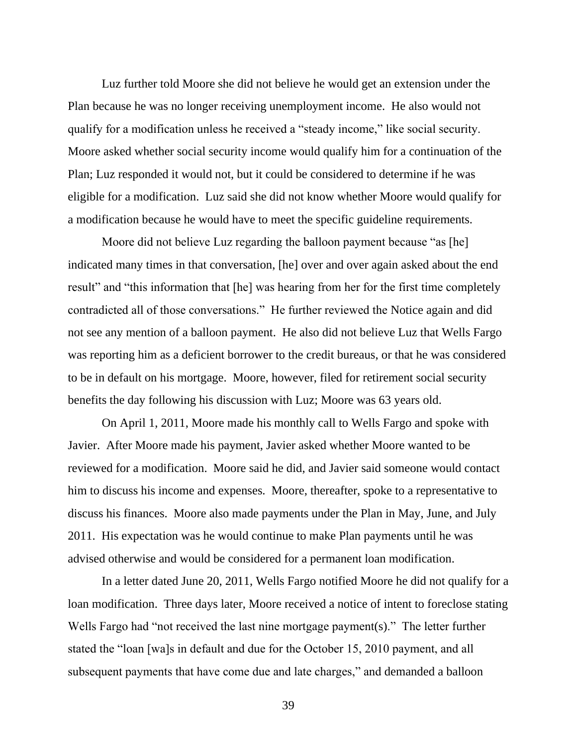Luz further told Moore she did not believe he would get an extension under the Plan because he was no longer receiving unemployment income. He also would not qualify for a modification unless he received a "steady income," like social security. Moore asked whether social security income would qualify him for a continuation of the Plan; Luz responded it would not, but it could be considered to determine if he was eligible for a modification. Luz said she did not know whether Moore would qualify for a modification because he would have to meet the specific guideline requirements.

Moore did not believe Luz regarding the balloon payment because "as [he] indicated many times in that conversation, [he] over and over again asked about the end result" and "this information that [he] was hearing from her for the first time completely contradicted all of those conversations." He further reviewed the Notice again and did not see any mention of a balloon payment. He also did not believe Luz that Wells Fargo was reporting him as a deficient borrower to the credit bureaus, or that he was considered to be in default on his mortgage. Moore, however, filed for retirement social security benefits the day following his discussion with Luz; Moore was 63 years old.

On April 1, 2011, Moore made his monthly call to Wells Fargo and spoke with Javier. After Moore made his payment, Javier asked whether Moore wanted to be reviewed for a modification. Moore said he did, and Javier said someone would contact him to discuss his income and expenses. Moore, thereafter, spoke to a representative to discuss his finances. Moore also made payments under the Plan in May, June, and July 2011. His expectation was he would continue to make Plan payments until he was advised otherwise and would be considered for a permanent loan modification.

In a letter dated June 20, 2011, Wells Fargo notified Moore he did not qualify for a loan modification. Three days later, Moore received a notice of intent to foreclose stating Wells Fargo had "not received the last nine mortgage payment(s)." The letter further stated the "loan [wa]s in default and due for the October 15, 2010 payment, and all subsequent payments that have come due and late charges," and demanded a balloon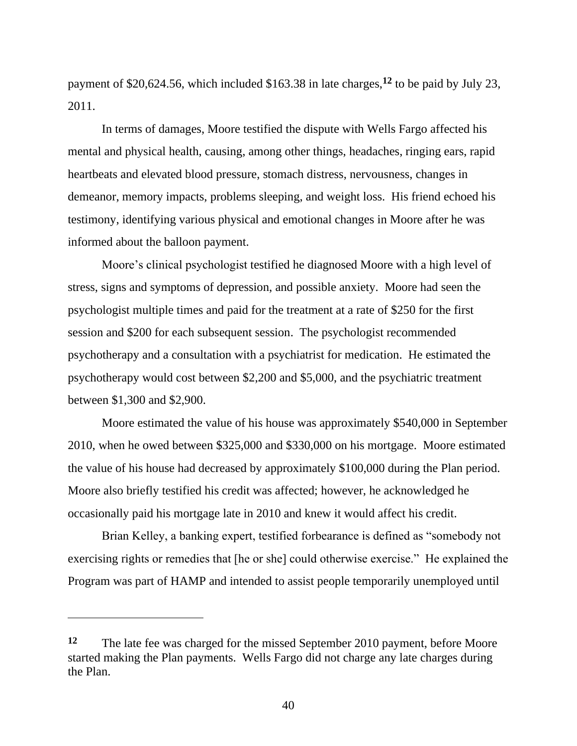payment of \$20,624.56, which included \$163.38 in late charges, **<sup>12</sup>** to be paid by July 23, 2011.

In terms of damages, Moore testified the dispute with Wells Fargo affected his mental and physical health, causing, among other things, headaches, ringing ears, rapid heartbeats and elevated blood pressure, stomach distress, nervousness, changes in demeanor, memory impacts, problems sleeping, and weight loss. His friend echoed his testimony, identifying various physical and emotional changes in Moore after he was informed about the balloon payment.

Moore's clinical psychologist testified he diagnosed Moore with a high level of stress, signs and symptoms of depression, and possible anxiety. Moore had seen the psychologist multiple times and paid for the treatment at a rate of \$250 for the first session and \$200 for each subsequent session. The psychologist recommended psychotherapy and a consultation with a psychiatrist for medication. He estimated the psychotherapy would cost between \$2,200 and \$5,000, and the psychiatric treatment between \$1,300 and \$2,900.

Moore estimated the value of his house was approximately \$540,000 in September 2010, when he owed between \$325,000 and \$330,000 on his mortgage. Moore estimated the value of his house had decreased by approximately \$100,000 during the Plan period. Moore also briefly testified his credit was affected; however, he acknowledged he occasionally paid his mortgage late in 2010 and knew it would affect his credit.

Brian Kelley, a banking expert, testified forbearance is defined as "somebody not exercising rights or remedies that [he or she] could otherwise exercise." He explained the Program was part of HAMP and intended to assist people temporarily unemployed until

**<sup>12</sup>** The late fee was charged for the missed September 2010 payment, before Moore started making the Plan payments. Wells Fargo did not charge any late charges during the Plan.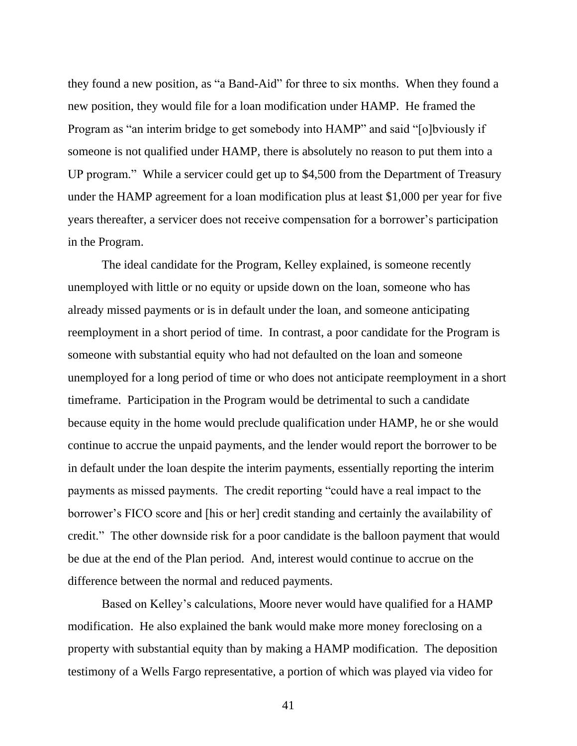they found a new position, as "a Band-Aid" for three to six months. When they found a new position, they would file for a loan modification under HAMP. He framed the Program as "an interim bridge to get somebody into HAMP" and said "[o]bviously if someone is not qualified under HAMP, there is absolutely no reason to put them into a UP program." While a servicer could get up to \$4,500 from the Department of Treasury under the HAMP agreement for a loan modification plus at least \$1,000 per year for five years thereafter, a servicer does not receive compensation for a borrower's participation in the Program.

The ideal candidate for the Program, Kelley explained, is someone recently unemployed with little or no equity or upside down on the loan, someone who has already missed payments or is in default under the loan, and someone anticipating reemployment in a short period of time. In contrast, a poor candidate for the Program is someone with substantial equity who had not defaulted on the loan and someone unemployed for a long period of time or who does not anticipate reemployment in a short timeframe. Participation in the Program would be detrimental to such a candidate because equity in the home would preclude qualification under HAMP, he or she would continue to accrue the unpaid payments, and the lender would report the borrower to be in default under the loan despite the interim payments, essentially reporting the interim payments as missed payments. The credit reporting "could have a real impact to the borrower's FICO score and [his or her] credit standing and certainly the availability of credit." The other downside risk for a poor candidate is the balloon payment that would be due at the end of the Plan period. And, interest would continue to accrue on the difference between the normal and reduced payments.

Based on Kelley's calculations, Moore never would have qualified for a HAMP modification. He also explained the bank would make more money foreclosing on a property with substantial equity than by making a HAMP modification. The deposition testimony of a Wells Fargo representative, a portion of which was played via video for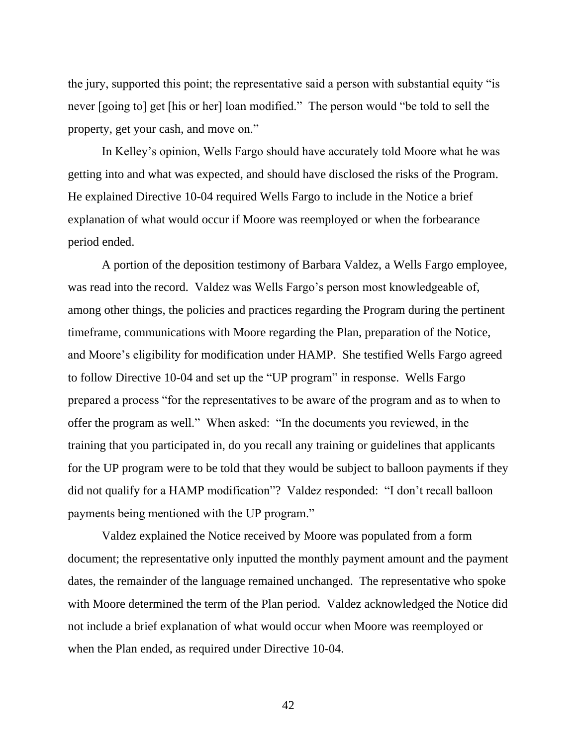the jury, supported this point; the representative said a person with substantial equity "is never [going to] get [his or her] loan modified." The person would "be told to sell the property, get your cash, and move on."

In Kelley's opinion, Wells Fargo should have accurately told Moore what he was getting into and what was expected, and should have disclosed the risks of the Program. He explained Directive 10-04 required Wells Fargo to include in the Notice a brief explanation of what would occur if Moore was reemployed or when the forbearance period ended.

A portion of the deposition testimony of Barbara Valdez, a Wells Fargo employee, was read into the record. Valdez was Wells Fargo's person most knowledgeable of, among other things, the policies and practices regarding the Program during the pertinent timeframe, communications with Moore regarding the Plan, preparation of the Notice, and Moore's eligibility for modification under HAMP. She testified Wells Fargo agreed to follow Directive 10-04 and set up the "UP program" in response. Wells Fargo prepared a process "for the representatives to be aware of the program and as to when to offer the program as well." When asked: "In the documents you reviewed, in the training that you participated in, do you recall any training or guidelines that applicants for the UP program were to be told that they would be subject to balloon payments if they did not qualify for a HAMP modification"? Valdez responded: "I don't recall balloon payments being mentioned with the UP program."

Valdez explained the Notice received by Moore was populated from a form document; the representative only inputted the monthly payment amount and the payment dates, the remainder of the language remained unchanged. The representative who spoke with Moore determined the term of the Plan period. Valdez acknowledged the Notice did not include a brief explanation of what would occur when Moore was reemployed or when the Plan ended, as required under Directive 10-04.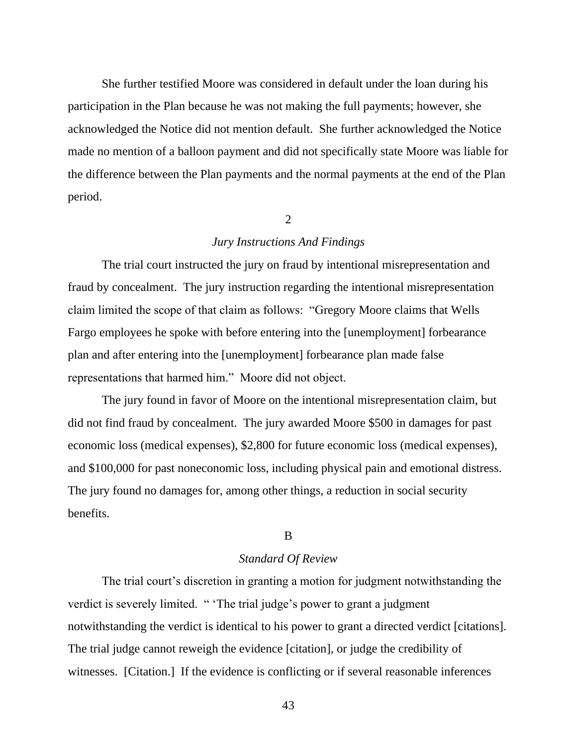She further testified Moore was considered in default under the loan during his participation in the Plan because he was not making the full payments; however, she acknowledged the Notice did not mention default. She further acknowledged the Notice made no mention of a balloon payment and did not specifically state Moore was liable for the difference between the Plan payments and the normal payments at the end of the Plan period.

# $\mathcal{L}$

## *Jury Instructions And Findings*

The trial court instructed the jury on fraud by intentional misrepresentation and fraud by concealment. The jury instruction regarding the intentional misrepresentation claim limited the scope of that claim as follows: "Gregory Moore claims that Wells Fargo employees he spoke with before entering into the [unemployment] forbearance plan and after entering into the [unemployment] forbearance plan made false representations that harmed him." Moore did not object.

The jury found in favor of Moore on the intentional misrepresentation claim, but did not find fraud by concealment. The jury awarded Moore \$500 in damages for past economic loss (medical expenses), \$2,800 for future economic loss (medical expenses), and \$100,000 for past noneconomic loss, including physical pain and emotional distress. The jury found no damages for, among other things, a reduction in social security benefits.

## B

## *Standard Of Review*

The trial court's discretion in granting a motion for judgment notwithstanding the verdict is severely limited. " 'The trial judge's power to grant a judgment notwithstanding the verdict is identical to his power to grant a directed verdict [citations]. The trial judge cannot reweigh the evidence [citation], or judge the credibility of witnesses. [Citation.] If the evidence is conflicting or if several reasonable inferences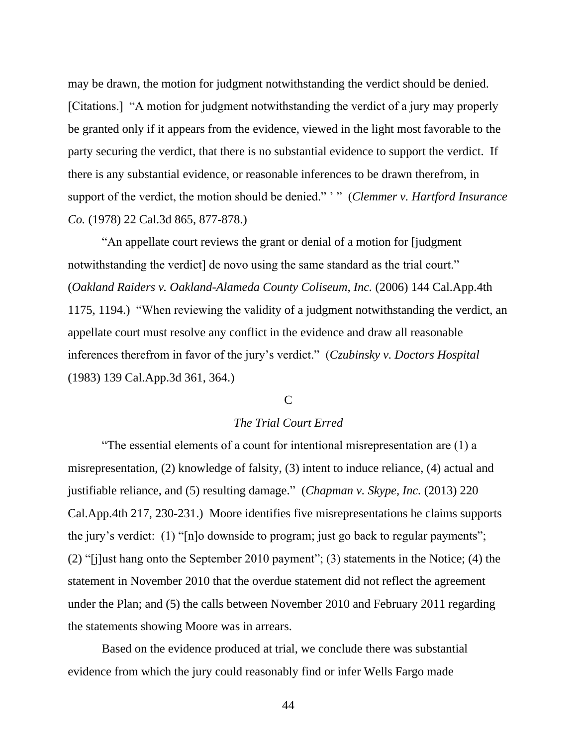may be drawn, the motion for judgment notwithstanding the verdict should be denied. [Citations.] "A motion for judgment notwithstanding the verdict of a jury may properly be granted only if it appears from the evidence, viewed in the light most favorable to the party securing the verdict, that there is no substantial evidence to support the verdict. If there is any substantial evidence, or reasonable inferences to be drawn therefrom, in support of the verdict, the motion should be denied." ' " (*Clemmer v. Hartford Insurance Co.* (1978) 22 Cal.3d 865, 877-878.)

"An appellate court reviews the grant or denial of a motion for [judgment notwithstanding the verdict] de novo using the same standard as the trial court." (*Oakland Raiders v. Oakland-Alameda County Coliseum, Inc.* (2006) 144 Cal.App.4th 1175, 1194.) "When reviewing the validity of a judgment notwithstanding the verdict, an appellate court must resolve any conflict in the evidence and draw all reasonable inferences therefrom in favor of the jury's verdict." (*Czubinsky v. Doctors Hospital* (1983) 139 Cal.App.3d 361, 364.)

## C

# *The Trial Court Erred*

"The essential elements of a count for intentional misrepresentation are (1) a misrepresentation, (2) knowledge of falsity, (3) intent to induce reliance, (4) actual and justifiable reliance, and (5) resulting damage." (*Chapman v. Skype, Inc.* (2013) 220 Cal.App.4th 217, 230-231.) Moore identifies five misrepresentations he claims supports the jury's verdict: (1) "[n]o downside to program; just go back to regular payments"; (2) "[j]ust hang onto the September 2010 payment"; (3) statements in the Notice; (4) the statement in November 2010 that the overdue statement did not reflect the agreement under the Plan; and (5) the calls between November 2010 and February 2011 regarding the statements showing Moore was in arrears.

Based on the evidence produced at trial, we conclude there was substantial evidence from which the jury could reasonably find or infer Wells Fargo made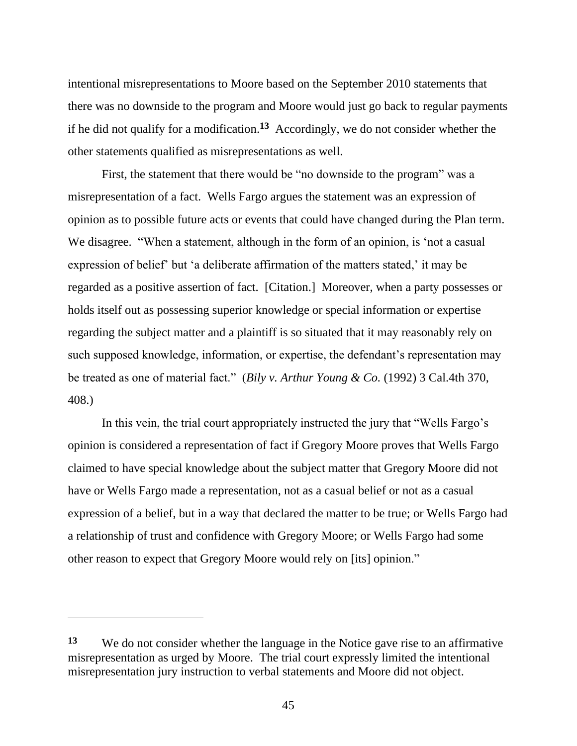intentional misrepresentations to Moore based on the September 2010 statements that there was no downside to the program and Moore would just go back to regular payments if he did not qualify for a modification. **13** Accordingly, we do not consider whether the other statements qualified as misrepresentations as well.

First, the statement that there would be "no downside to the program" was a misrepresentation of a fact. Wells Fargo argues the statement was an expression of opinion as to possible future acts or events that could have changed during the Plan term. We disagree. "When a statement, although in the form of an opinion, is 'not a casual expression of belief' but 'a deliberate affirmation of the matters stated,' it may be regarded as a positive assertion of fact. [Citation.] Moreover, when a party possesses or holds itself out as possessing superior knowledge or special information or expertise regarding the subject matter and a plaintiff is so situated that it may reasonably rely on such supposed knowledge, information, or expertise, the defendant's representation may be treated as one of material fact." (*Bily v. Arthur Young & Co.* (1992) 3 Cal.4th 370, 408.)

In this vein, the trial court appropriately instructed the jury that "Wells Fargo's opinion is considered a representation of fact if Gregory Moore proves that Wells Fargo claimed to have special knowledge about the subject matter that Gregory Moore did not have or Wells Fargo made a representation, not as a casual belief or not as a casual expression of a belief, but in a way that declared the matter to be true; or Wells Fargo had a relationship of trust and confidence with Gregory Moore; or Wells Fargo had some other reason to expect that Gregory Moore would rely on [its] opinion."

**<sup>13</sup>** We do not consider whether the language in the Notice gave rise to an affirmative misrepresentation as urged by Moore. The trial court expressly limited the intentional misrepresentation jury instruction to verbal statements and Moore did not object.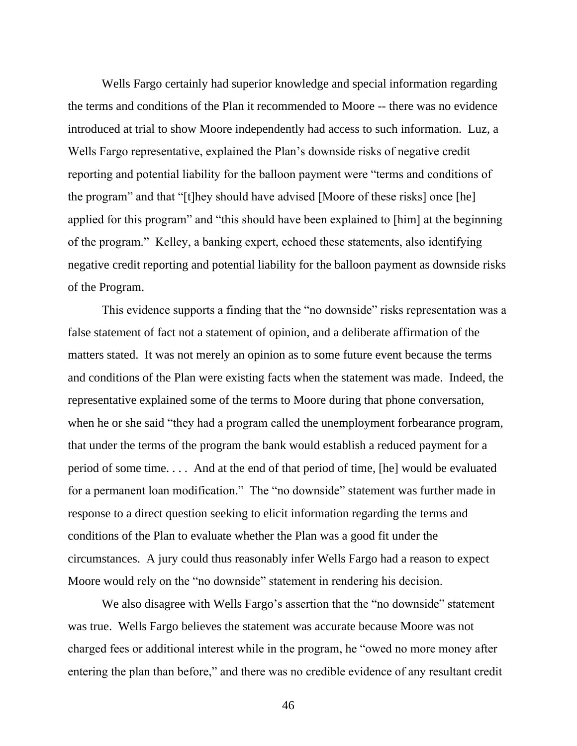Wells Fargo certainly had superior knowledge and special information regarding the terms and conditions of the Plan it recommended to Moore -- there was no evidence introduced at trial to show Moore independently had access to such information. Luz, a Wells Fargo representative, explained the Plan's downside risks of negative credit reporting and potential liability for the balloon payment were "terms and conditions of the program" and that "[t]hey should have advised [Moore of these risks] once [he] applied for this program" and "this should have been explained to [him] at the beginning of the program." Kelley, a banking expert, echoed these statements, also identifying negative credit reporting and potential liability for the balloon payment as downside risks of the Program.

This evidence supports a finding that the "no downside" risks representation was a false statement of fact not a statement of opinion, and a deliberate affirmation of the matters stated. It was not merely an opinion as to some future event because the terms and conditions of the Plan were existing facts when the statement was made. Indeed, the representative explained some of the terms to Moore during that phone conversation, when he or she said "they had a program called the unemployment forbearance program, that under the terms of the program the bank would establish a reduced payment for a period of some time. . . . And at the end of that period of time, [he] would be evaluated for a permanent loan modification." The "no downside" statement was further made in response to a direct question seeking to elicit information regarding the terms and conditions of the Plan to evaluate whether the Plan was a good fit under the circumstances. A jury could thus reasonably infer Wells Fargo had a reason to expect Moore would rely on the "no downside" statement in rendering his decision.

We also disagree with Wells Fargo's assertion that the "no downside" statement was true. Wells Fargo believes the statement was accurate because Moore was not charged fees or additional interest while in the program, he "owed no more money after entering the plan than before," and there was no credible evidence of any resultant credit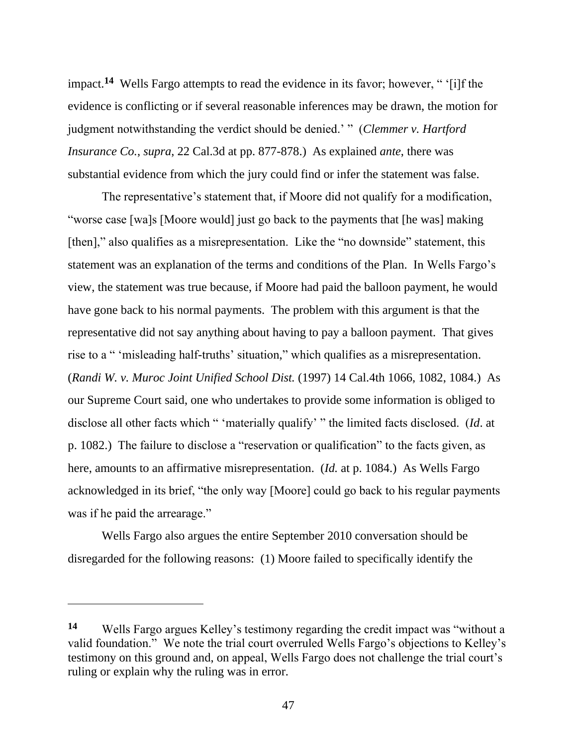impact.**<sup>14</sup>** Wells Fargo attempts to read the evidence in its favor; however, " '[i]f the evidence is conflicting or if several reasonable inferences may be drawn, the motion for judgment notwithstanding the verdict should be denied.' " (*Clemmer v. Hartford Insurance Co.*, *supra*, 22 Cal.3d at pp. 877-878.) As explained *ante*, there was substantial evidence from which the jury could find or infer the statement was false.

The representative's statement that, if Moore did not qualify for a modification, "worse case [wa]s [Moore would] just go back to the payments that [he was] making [then]," also qualifies as a misrepresentation. Like the "no downside" statement, this statement was an explanation of the terms and conditions of the Plan. In Wells Fargo's view, the statement was true because, if Moore had paid the balloon payment, he would have gone back to his normal payments. The problem with this argument is that the representative did not say anything about having to pay a balloon payment. That gives rise to a " 'misleading half-truths' situation," which qualifies as a misrepresentation. (*Randi W. v. Muroc Joint Unified School Dist.* (1997) 14 Cal.4th 1066, 1082, 1084.) As our Supreme Court said, one who undertakes to provide some information is obliged to disclose all other facts which " 'materially qualify' " the limited facts disclosed. (*Id*. at p. 1082.) The failure to disclose a "reservation or qualification" to the facts given, as here, amounts to an affirmative misrepresentation. (*Id.* at p. 1084.) As Wells Fargo acknowledged in its brief, "the only way [Moore] could go back to his regular payments was if he paid the arrearage."

Wells Fargo also argues the entire September 2010 conversation should be disregarded for the following reasons: (1) Moore failed to specifically identify the

**<sup>14</sup>** Wells Fargo argues Kelley's testimony regarding the credit impact was "without a valid foundation." We note the trial court overruled Wells Fargo's objections to Kelley's testimony on this ground and, on appeal, Wells Fargo does not challenge the trial court's ruling or explain why the ruling was in error.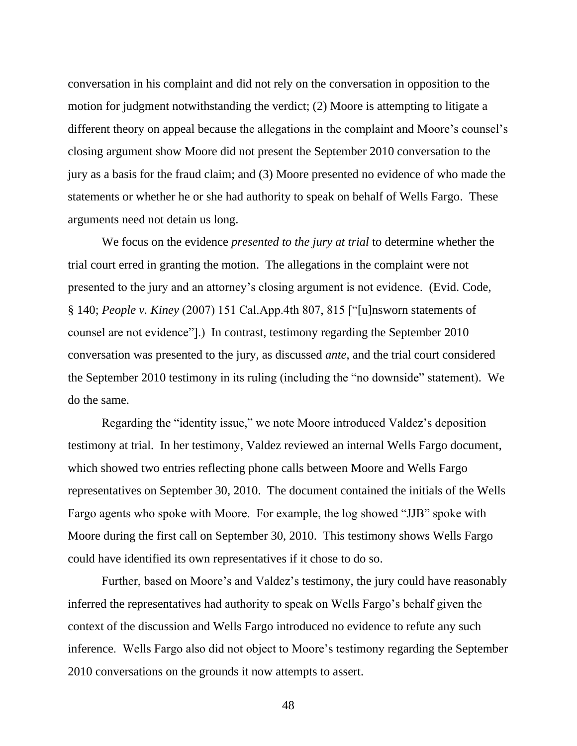conversation in his complaint and did not rely on the conversation in opposition to the motion for judgment notwithstanding the verdict; (2) Moore is attempting to litigate a different theory on appeal because the allegations in the complaint and Moore's counsel's closing argument show Moore did not present the September 2010 conversation to the jury as a basis for the fraud claim; and (3) Moore presented no evidence of who made the statements or whether he or she had authority to speak on behalf of Wells Fargo. These arguments need not detain us long.

We focus on the evidence *presented to the jury at trial* to determine whether the trial court erred in granting the motion. The allegations in the complaint were not presented to the jury and an attorney's closing argument is not evidence. (Evid. Code, § 140; *People v. Kiney* (2007) 151 Cal.App.4th 807, 815 ["[u]nsworn statements of counsel are not evidence"].) In contrast, testimony regarding the September 2010 conversation was presented to the jury, as discussed *ante*, and the trial court considered the September 2010 testimony in its ruling (including the "no downside" statement). We do the same.

Regarding the "identity issue," we note Moore introduced Valdez's deposition testimony at trial. In her testimony, Valdez reviewed an internal Wells Fargo document, which showed two entries reflecting phone calls between Moore and Wells Fargo representatives on September 30, 2010. The document contained the initials of the Wells Fargo agents who spoke with Moore. For example, the log showed "JJB" spoke with Moore during the first call on September 30, 2010. This testimony shows Wells Fargo could have identified its own representatives if it chose to do so.

Further, based on Moore's and Valdez's testimony, the jury could have reasonably inferred the representatives had authority to speak on Wells Fargo's behalf given the context of the discussion and Wells Fargo introduced no evidence to refute any such inference. Wells Fargo also did not object to Moore's testimony regarding the September 2010 conversations on the grounds it now attempts to assert.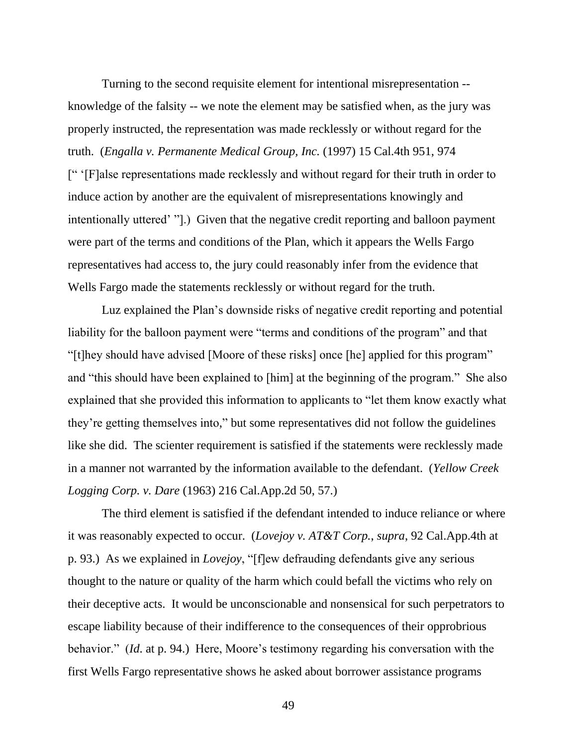Turning to the second requisite element for intentional misrepresentation - knowledge of the falsity -- we note the element may be satisfied when, as the jury was properly instructed, the representation was made recklessly or without regard for the truth. (*Engalla v. Permanente Medical Group, Inc.* (1997) 15 Cal.4th 951, 974 [" '[F]alse representations made recklessly and without regard for their truth in order to induce action by another are the equivalent of misrepresentations knowingly and intentionally uttered' "].) Given that the negative credit reporting and balloon payment were part of the terms and conditions of the Plan, which it appears the Wells Fargo representatives had access to, the jury could reasonably infer from the evidence that Wells Fargo made the statements recklessly or without regard for the truth.

Luz explained the Plan's downside risks of negative credit reporting and potential liability for the balloon payment were "terms and conditions of the program" and that "[t]hey should have advised [Moore of these risks] once [he] applied for this program" and "this should have been explained to [him] at the beginning of the program." She also explained that she provided this information to applicants to "let them know exactly what they're getting themselves into," but some representatives did not follow the guidelines like she did. The scienter requirement is satisfied if the statements were recklessly made in a manner not warranted by the information available to the defendant. (*Yellow Creek Logging Corp. v. Dare* (1963) 216 Cal.App.2d 50, 57.)

The third element is satisfied if the defendant intended to induce reliance or where it was reasonably expected to occur. (*Lovejoy v. AT&T Corp.*, *supra*, 92 Cal.App.4th at p. 93.) As we explained in *Lovejoy*, "[f]ew defrauding defendants give any serious thought to the nature or quality of the harm which could befall the victims who rely on their deceptive acts. It would be unconscionable and nonsensical for such perpetrators to escape liability because of their indifference to the consequences of their opprobrious behavior." (*Id*. at p. 94.) Here, Moore's testimony regarding his conversation with the first Wells Fargo representative shows he asked about borrower assistance programs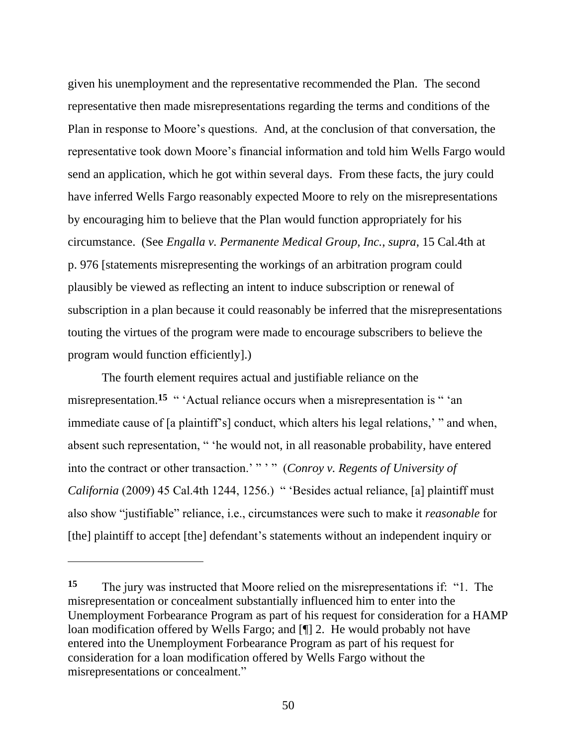given his unemployment and the representative recommended the Plan. The second representative then made misrepresentations regarding the terms and conditions of the Plan in response to Moore's questions. And, at the conclusion of that conversation, the representative took down Moore's financial information and told him Wells Fargo would send an application, which he got within several days. From these facts, the jury could have inferred Wells Fargo reasonably expected Moore to rely on the misrepresentations by encouraging him to believe that the Plan would function appropriately for his circumstance. (See *Engalla v. Permanente Medical Group, Inc.*, *supra*, 15 Cal.4th at p. 976 [statements misrepresenting the workings of an arbitration program could plausibly be viewed as reflecting an intent to induce subscription or renewal of subscription in a plan because it could reasonably be inferred that the misrepresentations touting the virtues of the program were made to encourage subscribers to believe the program would function efficiently].)

The fourth element requires actual and justifiable reliance on the misrepresentation.<sup>15</sup> " 'Actual reliance occurs when a misrepresentation is " 'an immediate cause of [a plaintiff's] conduct, which alters his legal relations,' " and when, absent such representation, " 'he would not, in all reasonable probability, have entered into the contract or other transaction.' " ' " (*Conroy v. Regents of University of California* (2009) 45 Cal.4th 1244, 1256.) " 'Besides actual reliance, [a] plaintiff must also show "justifiable" reliance, i.e., circumstances were such to make it *reasonable* for [the] plaintiff to accept [the] defendant's statements without an independent inquiry or

**<sup>15</sup>** The jury was instructed that Moore relied on the misrepresentations if: "1. The misrepresentation or concealment substantially influenced him to enter into the Unemployment Forbearance Program as part of his request for consideration for a HAMP loan modification offered by Wells Fargo; and [¶] 2. He would probably not have entered into the Unemployment Forbearance Program as part of his request for consideration for a loan modification offered by Wells Fargo without the misrepresentations or concealment."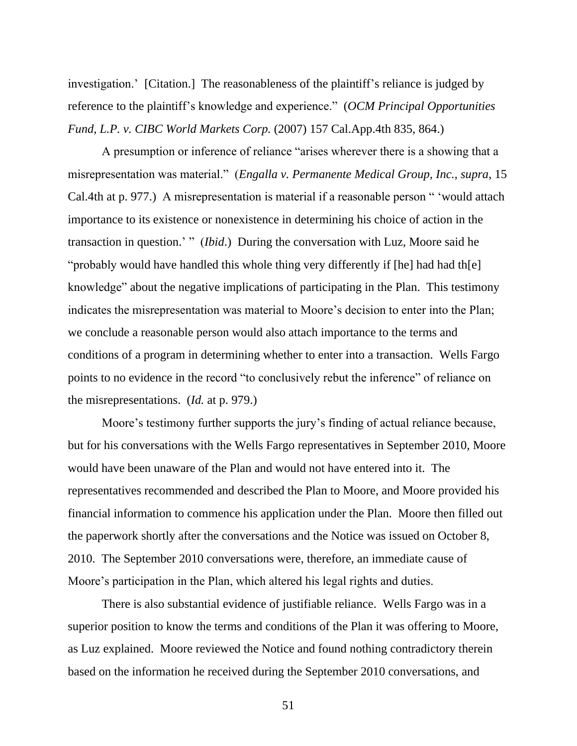investigation.' [Citation.] The reasonableness of the plaintiff's reliance is judged by reference to the plaintiff's knowledge and experience." (*OCM Principal Opportunities Fund, L.P. v. CIBC World Markets Corp.* (2007) 157 Cal.App.4th 835, 864.)

A presumption or inference of reliance "arises wherever there is a showing that a misrepresentation was material." (*Engalla v. Permanente Medical Group, Inc.*, *supra*, 15 Cal.4th at p. 977.) A misrepresentation is material if a reasonable person " 'would attach importance to its existence or nonexistence in determining his choice of action in the transaction in question.' " (*Ibid*.) During the conversation with Luz, Moore said he "probably would have handled this whole thing very differently if [he] had had th[e] knowledge" about the negative implications of participating in the Plan. This testimony indicates the misrepresentation was material to Moore's decision to enter into the Plan; we conclude a reasonable person would also attach importance to the terms and conditions of a program in determining whether to enter into a transaction. Wells Fargo points to no evidence in the record "to conclusively rebut the inference" of reliance on the misrepresentations. (*Id.* at p. 979.)

Moore's testimony further supports the jury's finding of actual reliance because, but for his conversations with the Wells Fargo representatives in September 2010, Moore would have been unaware of the Plan and would not have entered into it. The representatives recommended and described the Plan to Moore, and Moore provided his financial information to commence his application under the Plan. Moore then filled out the paperwork shortly after the conversations and the Notice was issued on October 8, 2010. The September 2010 conversations were, therefore, an immediate cause of Moore's participation in the Plan, which altered his legal rights and duties.

There is also substantial evidence of justifiable reliance. Wells Fargo was in a superior position to know the terms and conditions of the Plan it was offering to Moore, as Luz explained. Moore reviewed the Notice and found nothing contradictory therein based on the information he received during the September 2010 conversations, and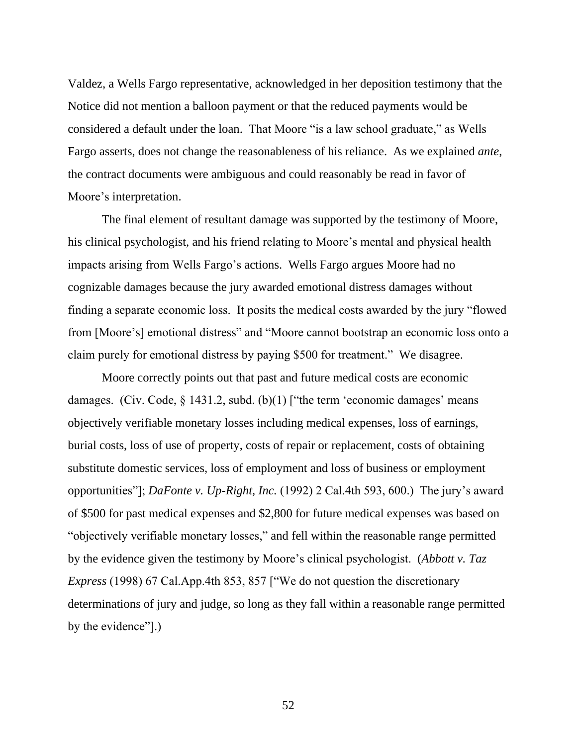Valdez, a Wells Fargo representative, acknowledged in her deposition testimony that the Notice did not mention a balloon payment or that the reduced payments would be considered a default under the loan. That Moore "is a law school graduate," as Wells Fargo asserts, does not change the reasonableness of his reliance. As we explained *ante*, the contract documents were ambiguous and could reasonably be read in favor of Moore's interpretation.

The final element of resultant damage was supported by the testimony of Moore, his clinical psychologist, and his friend relating to Moore's mental and physical health impacts arising from Wells Fargo's actions. Wells Fargo argues Moore had no cognizable damages because the jury awarded emotional distress damages without finding a separate economic loss. It posits the medical costs awarded by the jury "flowed from [Moore's] emotional distress" and "Moore cannot bootstrap an economic loss onto a claim purely for emotional distress by paying \$500 for treatment." We disagree.

Moore correctly points out that past and future medical costs are economic damages. (Civ. Code, § 1431.2, subd. (b)(1) ["the term 'economic damages' means objectively verifiable monetary losses including medical expenses, loss of earnings, burial costs, loss of use of property, costs of repair or replacement, costs of obtaining substitute domestic services, loss of employment and loss of business or employment opportunities"]; *DaFonte v. Up-Right, Inc.* (1992) 2 Cal.4th 593, 600.) The jury's award of \$500 for past medical expenses and \$2,800 for future medical expenses was based on "objectively verifiable monetary losses," and fell within the reasonable range permitted by the evidence given the testimony by Moore's clinical psychologist. (*Abbott v. Taz Express* (1998) 67 Cal.App.4th 853, 857 ["We do not question the discretionary determinations of jury and judge, so long as they fall within a reasonable range permitted by the evidence"].)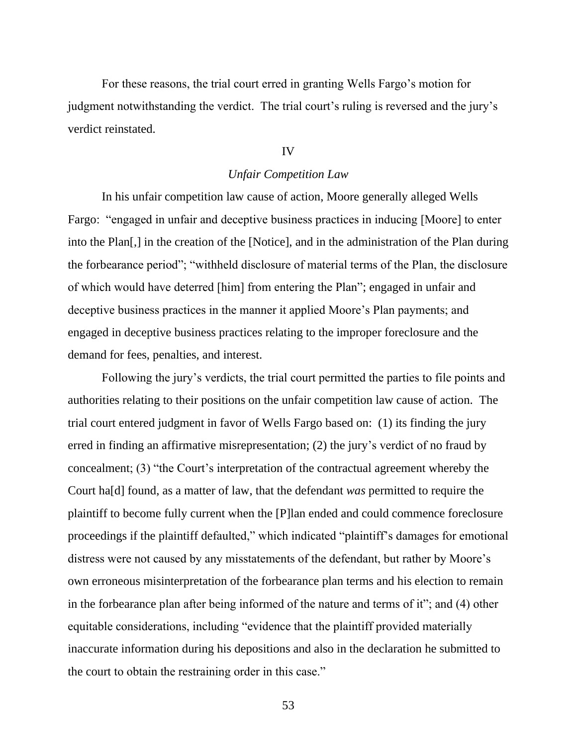For these reasons, the trial court erred in granting Wells Fargo's motion for judgment notwithstanding the verdict. The trial court's ruling is reversed and the jury's verdict reinstated.

# IV

## *Unfair Competition Law*

In his unfair competition law cause of action, Moore generally alleged Wells Fargo: "engaged in unfair and deceptive business practices in inducing [Moore] to enter into the Plan[,] in the creation of the [Notice], and in the administration of the Plan during the forbearance period"; "withheld disclosure of material terms of the Plan, the disclosure of which would have deterred [him] from entering the Plan"; engaged in unfair and deceptive business practices in the manner it applied Moore's Plan payments; and engaged in deceptive business practices relating to the improper foreclosure and the demand for fees, penalties, and interest.

Following the jury's verdicts, the trial court permitted the parties to file points and authorities relating to their positions on the unfair competition law cause of action. The trial court entered judgment in favor of Wells Fargo based on: (1) its finding the jury erred in finding an affirmative misrepresentation; (2) the jury's verdict of no fraud by concealment; (3) "the Court's interpretation of the contractual agreement whereby the Court ha[d] found, as a matter of law, that the defendant *was* permitted to require the plaintiff to become fully current when the [P]lan ended and could commence foreclosure proceedings if the plaintiff defaulted," which indicated "plaintiff's damages for emotional distress were not caused by any misstatements of the defendant, but rather by Moore's own erroneous misinterpretation of the forbearance plan terms and his election to remain in the forbearance plan after being informed of the nature and terms of it"; and (4) other equitable considerations, including "evidence that the plaintiff provided materially inaccurate information during his depositions and also in the declaration he submitted to the court to obtain the restraining order in this case."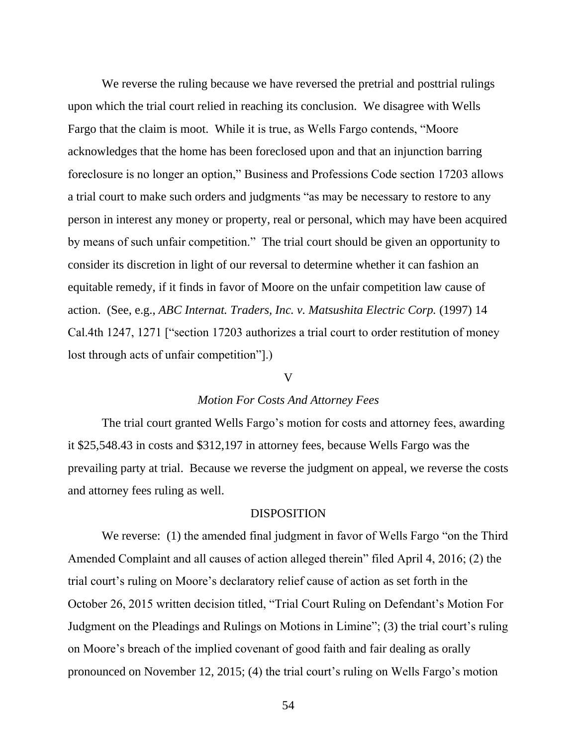We reverse the ruling because we have reversed the pretrial and posttrial rulings upon which the trial court relied in reaching its conclusion. We disagree with Wells Fargo that the claim is moot. While it is true, as Wells Fargo contends, "Moore acknowledges that the home has been foreclosed upon and that an injunction barring foreclosure is no longer an option," Business and Professions Code section 17203 allows a trial court to make such orders and judgments "as may be necessary to restore to any person in interest any money or property, real or personal, which may have been acquired by means of such unfair competition." The trial court should be given an opportunity to consider its discretion in light of our reversal to determine whether it can fashion an equitable remedy, if it finds in favor of Moore on the unfair competition law cause of action. (See, e.g., *ABC Internat. Traders, Inc. v. Matsushita Electric Corp.* (1997) 14 Cal.4th 1247, 1271 ["section 17203 authorizes a trial court to order restitution of money lost through acts of unfair competition"].)

## V

#### *Motion For Costs And Attorney Fees*

The trial court granted Wells Fargo's motion for costs and attorney fees, awarding it \$25,548.43 in costs and \$312,197 in attorney fees, because Wells Fargo was the prevailing party at trial. Because we reverse the judgment on appeal, we reverse the costs and attorney fees ruling as well.

## **DISPOSITION**

We reverse: (1) the amended final judgment in favor of Wells Fargo "on the Third Amended Complaint and all causes of action alleged therein" filed April 4, 2016; (2) the trial court's ruling on Moore's declaratory relief cause of action as set forth in the October 26, 2015 written decision titled, "Trial Court Ruling on Defendant's Motion For Judgment on the Pleadings and Rulings on Motions in Limine"; (3) the trial court's ruling on Moore's breach of the implied covenant of good faith and fair dealing as orally pronounced on November 12, 2015; (4) the trial court's ruling on Wells Fargo's motion